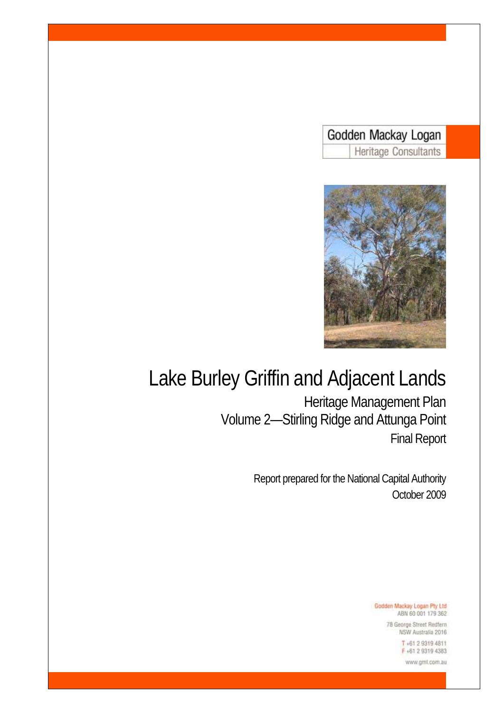# Godden Mackay Logan **Heritage Consultants**



# Lake Burley Griffin and Adjacent Lands

Heritage Management Plan Volume 2—Stirling Ridge and Attunga Point Final Report

> Report prepared for the National Capital Authority October 2009

> > Godden Mackay Logan Pty Ltd ABN 60 001 179 362

> > > 78 George Street Redfern NSW Australia 2016

> > > > T+61 2 9319 4811 F+61 2 9319 4383

www.gml.com.au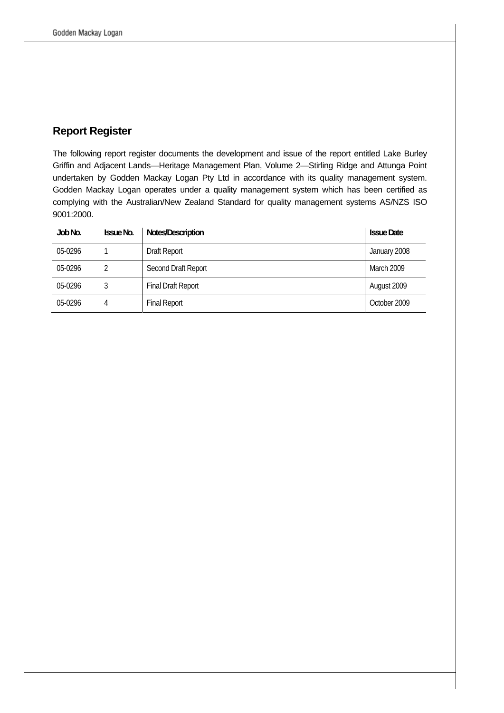# **Report Register**

The following report register documents the development and issue of the report entitled Lake Burley Griffin and Adjacent Lands—Heritage Management Plan, Volume 2—Stirling Ridge and Attunga Point undertaken by Godden Mackay Logan Pty Ltd in accordance with its quality management system. Godden Mackay Logan operates under a quality management system which has been certified as complying with the Australian/New Zealand Standard for quality management systems AS/NZS ISO 9001:2000.

| Job No. | <b>Issue No.</b> | Notes/Description         | <b>Issue Date</b> |
|---------|------------------|---------------------------|-------------------|
| 05-0296 |                  | Draft Report              | January 2008      |
| 05-0296 |                  | Second Draft Report       | March 2009        |
| 05-0296 | 3                | <b>Final Draft Report</b> | August 2009       |
| 05-0296 | 4                | <b>Final Report</b>       | October 2009      |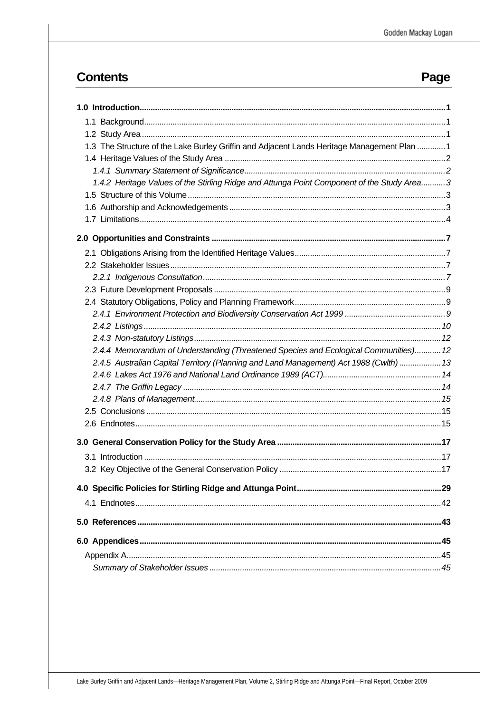# **Contents**

# Page

| 1.3 The Structure of the Lake Burley Griffin and Adjacent Lands Heritage Management Plan  1 |  |
|---------------------------------------------------------------------------------------------|--|
|                                                                                             |  |
|                                                                                             |  |
| 1.4.2 Heritage Values of the Stirling Ridge and Attunga Point Component of the Study Area3  |  |
|                                                                                             |  |
|                                                                                             |  |
|                                                                                             |  |
|                                                                                             |  |
|                                                                                             |  |
|                                                                                             |  |
|                                                                                             |  |
|                                                                                             |  |
|                                                                                             |  |
|                                                                                             |  |
|                                                                                             |  |
|                                                                                             |  |
| 2.4.4 Memorandum of Understanding (Threatened Species and Ecological Communities) 12        |  |
| 2.4.5 Australian Capital Territory (Planning and Land Management) Act 1988 (Cwlth)  13      |  |
|                                                                                             |  |
|                                                                                             |  |
|                                                                                             |  |
|                                                                                             |  |
|                                                                                             |  |
|                                                                                             |  |
|                                                                                             |  |
|                                                                                             |  |
|                                                                                             |  |
|                                                                                             |  |
|                                                                                             |  |
|                                                                                             |  |
|                                                                                             |  |
|                                                                                             |  |
|                                                                                             |  |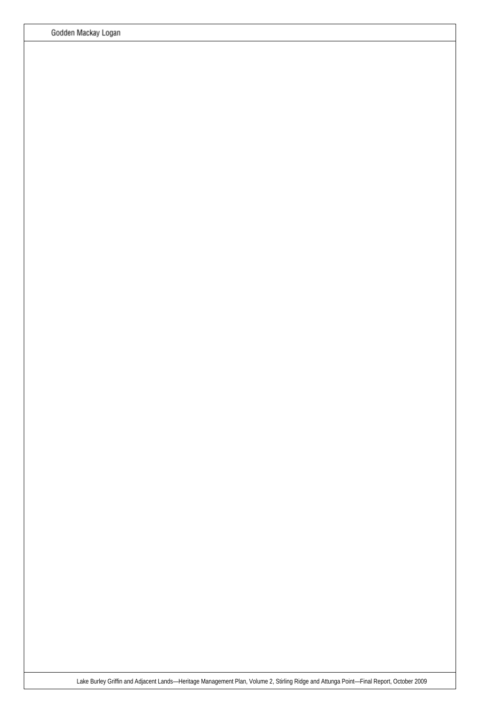Lake Burley Griffin and Adjacent Lands—Heritage Management Plan, Volume 2, Stirling Ridge and Attunga Point—Final Report, October 2009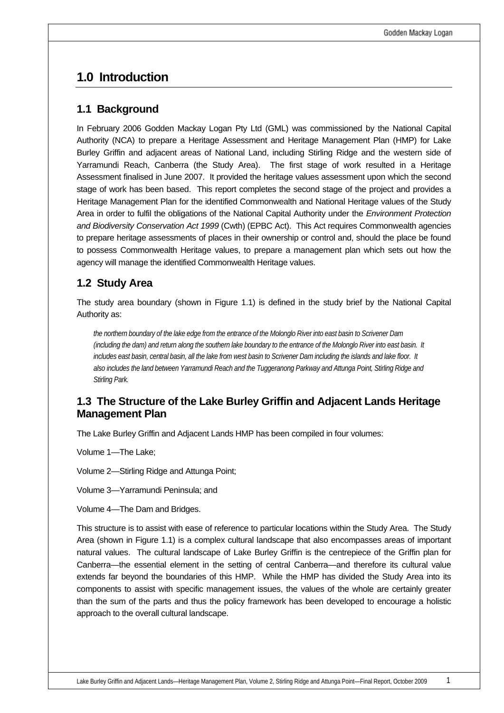# **1.0 Introduction**

# **1.1 Background**

In February 2006 Godden Mackay Logan Pty Ltd (GML) was commissioned by the National Capital Authority (NCA) to prepare a Heritage Assessment and Heritage Management Plan (HMP) for Lake Burley Griffin and adjacent areas of National Land, including Stirling Ridge and the western side of Yarramundi Reach, Canberra (the Study Area). The first stage of work resulted in a Heritage Assessment finalised in June 2007. It provided the heritage values assessment upon which the second stage of work has been based. This report completes the second stage of the project and provides a Heritage Management Plan for the identified Commonwealth and National Heritage values of the Study Area in order to fulfil the obligations of the National Capital Authority under the *Environment Protection and Biodiversity Conservation Act 1999* (Cwth) (EPBC Act). This Act requires Commonwealth agencies to prepare heritage assessments of places in their ownership or control and, should the place be found to possess Commonwealth Heritage values, to prepare a management plan which sets out how the agency will manage the identified Commonwealth Heritage values.

# **1.2 Study Area**

The study area boundary (shown in Figure 1.1) is defined in the study brief by the National Capital Authority as:

*the northern boundary of the lake edge from the entrance of the Molonglo River into east basin to Scrivener Dam (including the dam) and return along the southern lake boundary to the entrance of the Molonglo River into east basin. It includes east basin, central basin, all the lake from west basin to Scrivener Dam including the islands and lake floor. It also includes the land between Yarramundi Reach and the Tuggeranong Parkway and Attunga Point, Stirling Ridge and Stirling Park.* 

# **1.3 The Structure of the Lake Burley Griffin and Adjacent Lands Heritage Management Plan**

The Lake Burley Griffin and Adjacent Lands HMP has been compiled in four volumes:

Volume 1—The Lake;

Volume 2—Stirling Ridge and Attunga Point;

Volume 3—Yarramundi Peninsula; and

Volume 4—The Dam and Bridges.

This structure is to assist with ease of reference to particular locations within the Study Area. The Study Area (shown in Figure 1.1) is a complex cultural landscape that also encompasses areas of important natural values. The cultural landscape of Lake Burley Griffin is the centrepiece of the Griffin plan for Canberra—the essential element in the setting of central Canberra—and therefore its cultural value extends far beyond the boundaries of this HMP. While the HMP has divided the Study Area into its components to assist with specific management issues, the values of the whole are certainly greater than the sum of the parts and thus the policy framework has been developed to encourage a holistic approach to the overall cultural landscape.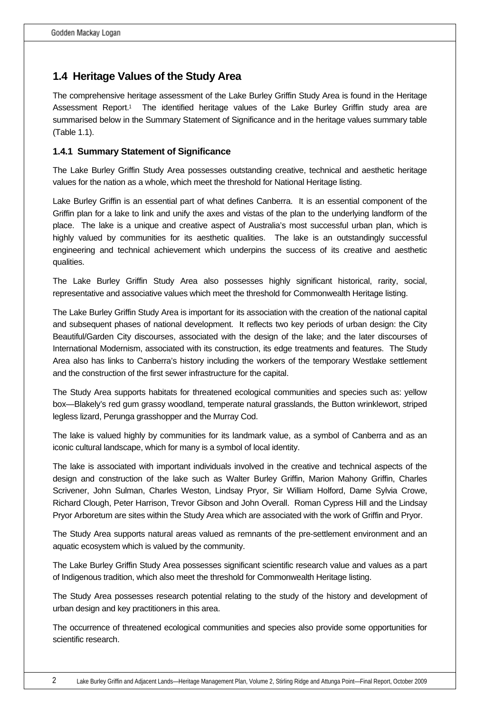# **1.4 Heritage Values of the Study Area**

The comprehensive heritage assessment of the Lake Burley Griffin Study Area is found in the Heritage Assessment Report.<sup>1</sup> The identified heritage values of the Lake Burley Griffin study area are summarised below in the Summary Statement of Significance and in the heritage values summary table (Table 1.1).

### **1.4.1 Summary Statement of Significance**

The Lake Burley Griffin Study Area possesses outstanding creative, technical and aesthetic heritage values for the nation as a whole, which meet the threshold for National Heritage listing.

Lake Burley Griffin is an essential part of what defines Canberra. It is an essential component of the Griffin plan for a lake to link and unify the axes and vistas of the plan to the underlying landform of the place. The lake is a unique and creative aspect of Australia's most successful urban plan, which is highly valued by communities for its aesthetic qualities. The lake is an outstandingly successful engineering and technical achievement which underpins the success of its creative and aesthetic qualities.

The Lake Burley Griffin Study Area also possesses highly significant historical, rarity, social, representative and associative values which meet the threshold for Commonwealth Heritage listing.

The Lake Burley Griffin Study Area is important for its association with the creation of the national capital and subsequent phases of national development. It reflects two key periods of urban design: the City Beautiful/Garden City discourses, associated with the design of the lake; and the later discourses of International Modernism, associated with its construction, its edge treatments and features. The Study Area also has links to Canberra's history including the workers of the temporary Westlake settlement and the construction of the first sewer infrastructure for the capital.

The Study Area supports habitats for threatened ecological communities and species such as: yellow box—Blakely's red gum grassy woodland, temperate natural grasslands, the Button wrinklewort, striped legless lizard, Perunga grasshopper and the Murray Cod.

The lake is valued highly by communities for its landmark value, as a symbol of Canberra and as an iconic cultural landscape, which for many is a symbol of local identity.

The lake is associated with important individuals involved in the creative and technical aspects of the design and construction of the lake such as Walter Burley Griffin, Marion Mahony Griffin, Charles Scrivener, John Sulman, Charles Weston, Lindsay Pryor, Sir William Holford, Dame Sylvia Crowe, Richard Clough, Peter Harrison, Trevor Gibson and John Overall. Roman Cypress Hill and the Lindsay Pryor Arboretum are sites within the Study Area which are associated with the work of Griffin and Pryor.

The Study Area supports natural areas valued as remnants of the pre-settlement environment and an aquatic ecosystem which is valued by the community.

The Lake Burley Griffin Study Area possesses significant scientific research value and values as a part of Indigenous tradition, which also meet the threshold for Commonwealth Heritage listing.

The Study Area possesses research potential relating to the study of the history and development of urban design and key practitioners in this area.

The occurrence of threatened ecological communities and species also provide some opportunities for scientific research.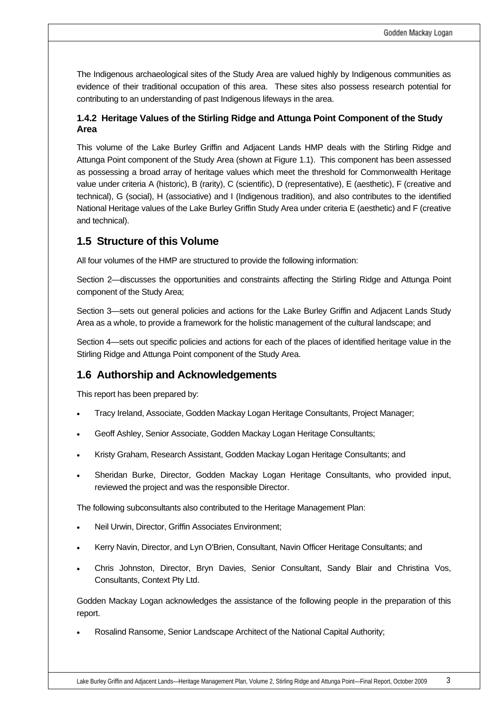The Indigenous archaeological sites of the Study Area are valued highly by Indigenous communities as evidence of their traditional occupation of this area. These sites also possess research potential for contributing to an understanding of past Indigenous lifeways in the area.

### **1.4.2 Heritage Values of the Stirling Ridge and Attunga Point Component of the Study Area**

This volume of the Lake Burley Griffin and Adjacent Lands HMP deals with the Stirling Ridge and Attunga Point component of the Study Area (shown at Figure 1.1). This component has been assessed as possessing a broad array of heritage values which meet the threshold for Commonwealth Heritage value under criteria A (historic), B (rarity), C (scientific), D (representative), E (aesthetic), F (creative and technical), G (social), H (associative) and I (Indigenous tradition), and also contributes to the identified National Heritage values of the Lake Burley Griffin Study Area under criteria E (aesthetic) and F (creative and technical).

# **1.5 Structure of this Volume**

All four volumes of the HMP are structured to provide the following information:

Section 2—discusses the opportunities and constraints affecting the Stirling Ridge and Attunga Point component of the Study Area;

Section 3—sets out general policies and actions for the Lake Burley Griffin and Adjacent Lands Study Area as a whole, to provide a framework for the holistic management of the cultural landscape; and

Section 4—sets out specific policies and actions for each of the places of identified heritage value in the Stirling Ridge and Attunga Point component of the Study Area.

# **1.6 Authorship and Acknowledgements**

This report has been prepared by:

- Tracy Ireland, Associate, Godden Mackay Logan Heritage Consultants, Project Manager;
- Geoff Ashley, Senior Associate, Godden Mackay Logan Heritage Consultants;
- Kristy Graham, Research Assistant, Godden Mackay Logan Heritage Consultants; and
- Sheridan Burke, Director, Godden Mackay Logan Heritage Consultants, who provided input, reviewed the project and was the responsible Director.

The following subconsultants also contributed to the Heritage Management Plan:

- Neil Urwin, Director, Griffin Associates Environment;
- Kerry Navin, Director, and Lyn O'Brien, Consultant, Navin Officer Heritage Consultants; and
- Chris Johnston, Director, Bryn Davies, Senior Consultant, Sandy Blair and Christina Vos, Consultants, Context Pty Ltd.

Godden Mackay Logan acknowledges the assistance of the following people in the preparation of this report.

Rosalind Ransome, Senior Landscape Architect of the National Capital Authority;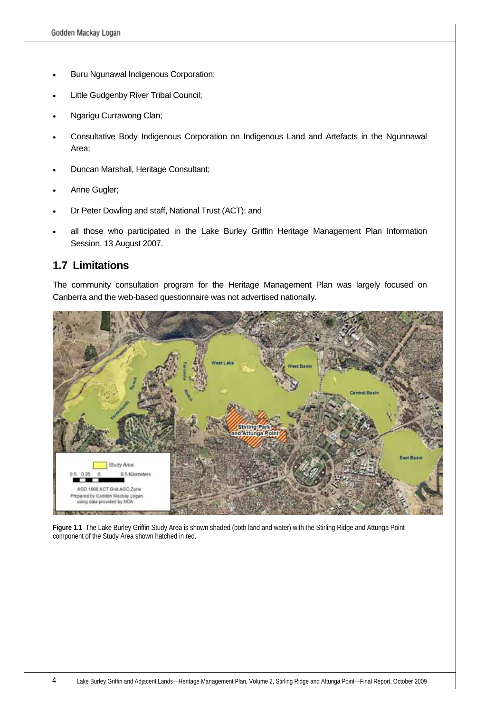- Buru Ngunawal Indigenous Corporation;
- Little Gudgenby River Tribal Council;
- Ngarigu Currawong Clan;
- Consultative Body Indigenous Corporation on Indigenous Land and Artefacts in the Ngunnawal Area;
- Duncan Marshall, Heritage Consultant;
- Anne Gugler;
- Dr Peter Dowling and staff, National Trust (ACT); and
- all those who participated in the Lake Burley Griffin Heritage Management Plan Information Session, 13 August 2007.

# **1.7 Limitations**

The community consultation program for the Heritage Management Plan was largely focused on Canberra and the web-based questionnaire was not advertised nationally.



**Figure 1.1** The Lake Burley Griffin Study Area is shown shaded (both land and water) with the Stirling Ridge and Attunga Point component of the Study Area shown hatched in red.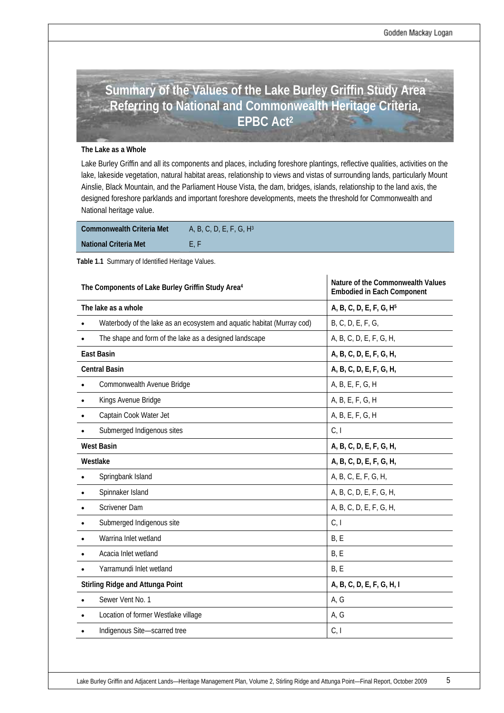**Summary of the Values of the Lake Burley Griffin Study Area Referring to National and Commonwealth Heritage Criteria, EPBC Act2**

#### **The Lake as a Whole**

Lake Burley Griffin and all its components and places, including foreshore plantings, reflective qualities, activities on the lake, lakeside vegetation, natural habitat areas, relationship to views and vistas of surrounding lands, particularly Mount Ainslie, Black Mountain, and the Parliament House Vista, the dam, bridges, islands, relationship to the land axis, the designed foreshore parklands and important foreshore developments, meets the threshold for Commonwealth and National heritage value.

| Commonwealth Criteria Met<br>and the property of the control of | A, B, C, D, E, F, G, H <sup>3</sup> |
|-----------------------------------------------------------------|-------------------------------------|
| National Criteria Met                                           | F F<br>-                            |

 $\mathbf{I}$ 

**Table 1.1** Summary of Identified Heritage Values.

| The Components of Lake Burley Griffin Study Area <sup>4</sup>          | Nature of the Commonwealth Values<br><b>Embodied in Each Component</b> |
|------------------------------------------------------------------------|------------------------------------------------------------------------|
| The lake as a whole                                                    | A, B, C, D, E, F, G, H <sup>5</sup>                                    |
| Waterbody of the lake as an ecosystem and aquatic habitat (Murray cod) | B, C, D, E, F, G,                                                      |
| The shape and form of the lake as a designed landscape<br>٠            | A, B, C, D, E, F, G, H,                                                |
| <b>East Basin</b>                                                      | A, B, C, D, E, F, G, H,                                                |
| <b>Central Basin</b>                                                   | A, B, C, D, E, F, G, H,                                                |
| Commonwealth Avenue Bridge<br>$\bullet$                                | A, B, E, F, G, H                                                       |
| Kings Avenue Bridge<br>$\bullet$                                       | A, B, E, F, G, H                                                       |
| Captain Cook Water Jet                                                 | A, B, E, F, G, H                                                       |
| Submerged Indigenous sites<br>٠                                        | C, I                                                                   |
| <b>West Basin</b>                                                      | A, B, C, D, E, F, G, H,                                                |
| Westlake                                                               | A, B, C, D, E, F, G, H,                                                |
| Springbank Island<br>$\bullet$                                         | A, B, C, E, F, G, H,                                                   |
| Spinnaker Island<br>$\bullet$                                          | A, B, C, D, E, F, G, H,                                                |
| Scrivener Dam<br>٠                                                     | A, B, C, D, E, F, G, H,                                                |
| Submerged Indigenous site                                              | C, I                                                                   |
| Warrina Inlet wetland                                                  | B, E                                                                   |
| Acacia Inlet wetland                                                   | B, E                                                                   |
| Yarramundi Inlet wetland                                               | B, E                                                                   |
| Stirling Ridge and Attunga Point                                       | A, B, C, D, E, F, G, H, I                                              |
| Sewer Vent No. 1<br>٠                                                  | A, G                                                                   |
| Location of former Westlake village                                    | A, G                                                                   |
| Indigenous Site-scarred tree                                           | C, I                                                                   |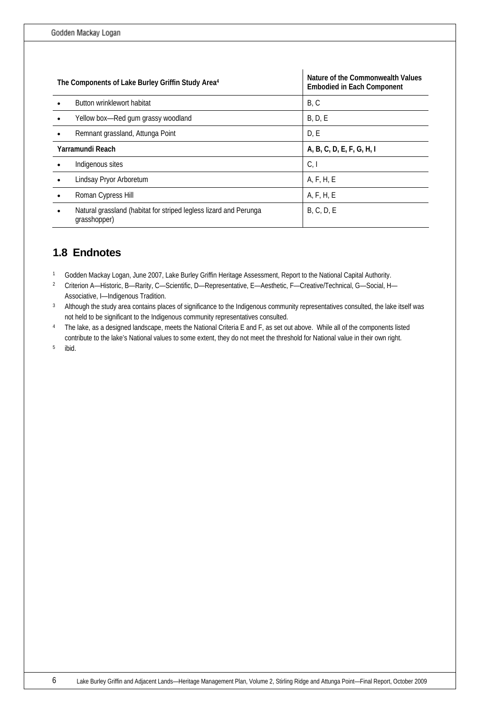| The Components of Lake Burley Griffin Study Area <sup>4</sup> |                                                                                   | Nature of the Commonwealth Values<br><b>Embodied in Each Component</b> |
|---------------------------------------------------------------|-----------------------------------------------------------------------------------|------------------------------------------------------------------------|
|                                                               | Button wrinklewort habitat                                                        | B, C                                                                   |
|                                                               | Yellow box-Red gum grassy woodland                                                | B.D.E                                                                  |
|                                                               | Remnant grassland, Attunga Point                                                  | D, E                                                                   |
| Yarramundi Reach                                              |                                                                                   | A, B, C, D, E, F, G, H, I                                              |
|                                                               | Indigenous sites                                                                  | C, I                                                                   |
|                                                               | Lindsay Pryor Arboretum                                                           | A, F, H, E                                                             |
|                                                               | Roman Cypress Hill                                                                | A, F, H, E                                                             |
|                                                               | Natural grassland (habitat for striped legless lizard and Perunga<br>grasshopper) | B, C, D, E                                                             |

# **1.8 Endnotes**

<sup>1</sup> Godden Mackay Logan, June 2007, Lake Burley Griffin Heritage Assessment, Report to the National Capital Authority.

<sup>2</sup> Criterion A—Historic, B—Rarity, C—Scientific, D—Representative, E—Aesthetic, F—Creative/Technical, G—Social, H— Associative, I—Indigenous Tradition.

<sup>3</sup> Although the study area contains places of significance to the Indigenous community representatives consulted, the lake itself was not held to be significant to the Indigenous community representatives consulted.

4 The lake, as a designed landscape, meets the National Criteria E and F, as set out above. While all of the components listed contribute to the lake's National values to some extent, they do not meet the threshold for National value in their own right.

5 ibid.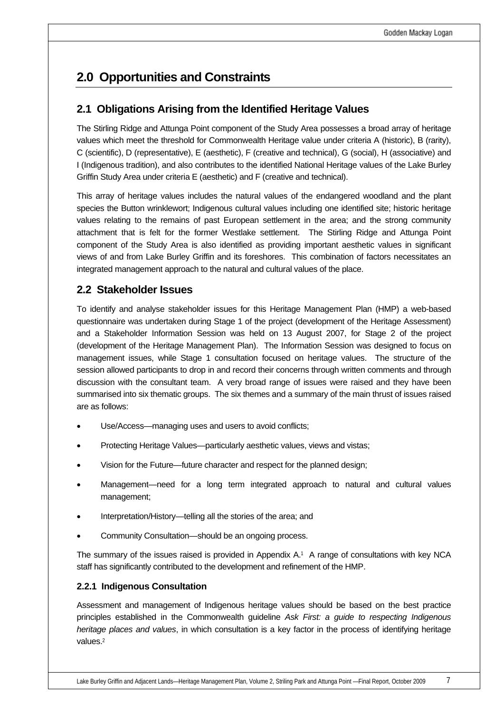# **2.0 Opportunities and Constraints**

# **2.1 Obligations Arising from the Identified Heritage Values**

The Stirling Ridge and Attunga Point component of the Study Area possesses a broad array of heritage values which meet the threshold for Commonwealth Heritage value under criteria A (historic), B (rarity), C (scientific), D (representative), E (aesthetic), F (creative and technical), G (social), H (associative) and I (Indigenous tradition), and also contributes to the identified National Heritage values of the Lake Burley Griffin Study Area under criteria E (aesthetic) and F (creative and technical).

This array of heritage values includes the natural values of the endangered woodland and the plant species the Button wrinklewort; Indigenous cultural values including one identified site; historic heritage values relating to the remains of past European settlement in the area; and the strong community attachment that is felt for the former Westlake settlement. The Stirling Ridge and Attunga Point component of the Study Area is also identified as providing important aesthetic values in significant views of and from Lake Burley Griffin and its foreshores. This combination of factors necessitates an integrated management approach to the natural and cultural values of the place.

# **2.2 Stakeholder Issues**

To identify and analyse stakeholder issues for this Heritage Management Plan (HMP) a web-based questionnaire was undertaken during Stage 1 of the project (development of the Heritage Assessment) and a Stakeholder Information Session was held on 13 August 2007, for Stage 2 of the project (development of the Heritage Management Plan). The Information Session was designed to focus on management issues, while Stage 1 consultation focused on heritage values. The structure of the session allowed participants to drop in and record their concerns through written comments and through discussion with the consultant team. A very broad range of issues were raised and they have been summarised into six thematic groups. The six themes and a summary of the main thrust of issues raised are as follows:

- Use/Access—managing uses and users to avoid conflicts;
- Protecting Heritage Values—particularly aesthetic values, views and vistas;
- Vision for the Future—future character and respect for the planned design;
- Management—need for a long term integrated approach to natural and cultural values management;
- Interpretation/History—telling all the stories of the area; and
- Community Consultation—should be an ongoing process.

The summary of the issues raised is provided in Appendix A.<sup>1</sup> A range of consultations with key NCA staff has significantly contributed to the development and refinement of the HMP.

### **2.2.1 Indigenous Consultation**

Assessment and management of Indigenous heritage values should be based on the best practice principles established in the Commonwealth guideline *Ask First: a guide to respecting Indigenous heritage places and values*, in which consultation is a key factor in the process of identifying heritage values.2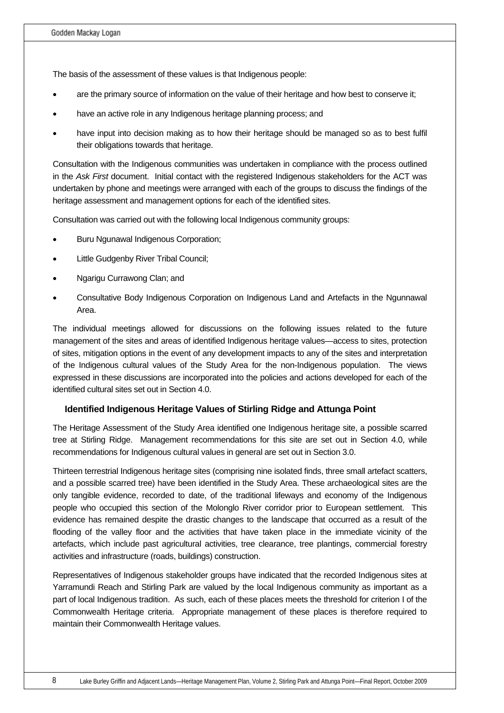The basis of the assessment of these values is that Indigenous people:

- are the primary source of information on the value of their heritage and how best to conserve it;
- have an active role in any Indigenous heritage planning process; and
- have input into decision making as to how their heritage should be managed so as to best fulfil their obligations towards that heritage.

Consultation with the Indigenous communities was undertaken in compliance with the process outlined in the *Ask First* document. Initial contact with the registered Indigenous stakeholders for the ACT was undertaken by phone and meetings were arranged with each of the groups to discuss the findings of the heritage assessment and management options for each of the identified sites.

Consultation was carried out with the following local Indigenous community groups:

- Buru Ngunawal Indigenous Corporation;
- Little Gudgenby River Tribal Council;
- Ngarigu Currawong Clan; and
- Consultative Body Indigenous Corporation on Indigenous Land and Artefacts in the Ngunnawal Area.

The individual meetings allowed for discussions on the following issues related to the future management of the sites and areas of identified Indigenous heritage values—access to sites, protection of sites, mitigation options in the event of any development impacts to any of the sites and interpretation of the Indigenous cultural values of the Study Area for the non-Indigenous population. The views expressed in these discussions are incorporated into the policies and actions developed for each of the identified cultural sites set out in Section 4.0.

#### **Identified Indigenous Heritage Values of Stirling Ridge and Attunga Point**

The Heritage Assessment of the Study Area identified one Indigenous heritage site, a possible scarred tree at Stirling Ridge. Management recommendations for this site are set out in Section 4.0, while recommendations for Indigenous cultural values in general are set out in Section 3.0.

Thirteen terrestrial Indigenous heritage sites (comprising nine isolated finds, three small artefact scatters, and a possible scarred tree) have been identified in the Study Area. These archaeological sites are the only tangible evidence, recorded to date, of the traditional lifeways and economy of the Indigenous people who occupied this section of the Molonglo River corridor prior to European settlement. This evidence has remained despite the drastic changes to the landscape that occurred as a result of the flooding of the valley floor and the activities that have taken place in the immediate vicinity of the artefacts, which include past agricultural activities, tree clearance, tree plantings, commercial forestry activities and infrastructure (roads, buildings) construction.

Representatives of Indigenous stakeholder groups have indicated that the recorded Indigenous sites at Yarramundi Reach and Stirling Park are valued by the local Indigenous community as important as a part of local Indigenous tradition. As such, each of these places meets the threshold for criterion I of the Commonwealth Heritage criteria. Appropriate management of these places is therefore required to maintain their Commonwealth Heritage values.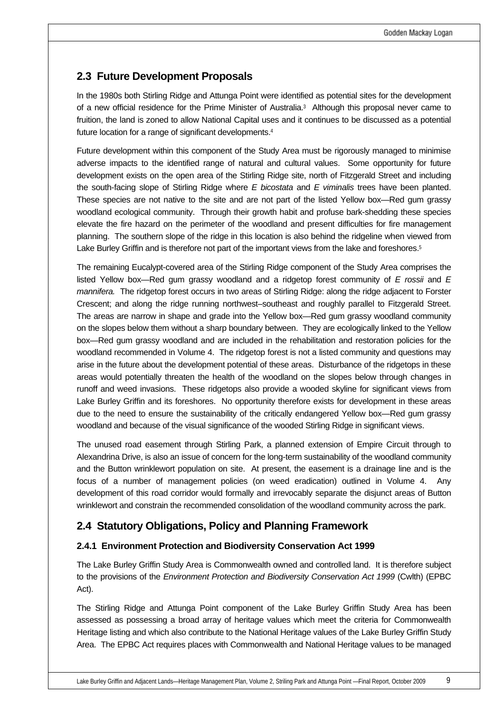# **2.3 Future Development Proposals**

In the 1980s both Stirling Ridge and Attunga Point were identified as potential sites for the development of a new official residence for the Prime Minister of Australia.<sup>3</sup> Although this proposal never came to fruition, the land is zoned to allow National Capital uses and it continues to be discussed as a potential future location for a range of significant developments.<sup>4</sup>

Future development within this component of the Study Area must be rigorously managed to minimise adverse impacts to the identified range of natural and cultural values. Some opportunity for future development exists on the open area of the Stirling Ridge site, north of Fitzgerald Street and including the south-facing slope of Stirling Ridge where *E bicostata* and *E viminalis* trees have been planted. These species are not native to the site and are not part of the listed Yellow box—Red gum grassy woodland ecological community. Through their growth habit and profuse bark-shedding these species elevate the fire hazard on the perimeter of the woodland and present difficulties for fire management planning. The southern slope of the ridge in this location is also behind the ridgeline when viewed from Lake Burley Griffin and is therefore not part of the important views from the lake and foreshores.<sup>5</sup>

The remaining Eucalypt-covered area of the Stirling Ridge component of the Study Area comprises the listed Yellow box—Red gum grassy woodland and a ridgetop forest community of *E rossii* and *E mannifera.* The ridgetop forest occurs in two areas of Stirling Ridge: along the ridge adjacent to Forster Crescent; and along the ridge running northwest–southeast and roughly parallel to Fitzgerald Street. The areas are narrow in shape and grade into the Yellow box—Red gum grassy woodland community on the slopes below them without a sharp boundary between. They are ecologically linked to the Yellow box—Red gum grassy woodland and are included in the rehabilitation and restoration policies for the woodland recommended in Volume 4. The ridgetop forest is not a listed community and questions may arise in the future about the development potential of these areas. Disturbance of the ridgetops in these areas would potentially threaten the health of the woodland on the slopes below through changes in runoff and weed invasions. These ridgetops also provide a wooded skyline for significant views from Lake Burley Griffin and its foreshores. No opportunity therefore exists for development in these areas due to the need to ensure the sustainability of the critically endangered Yellow box—Red gum grassy woodland and because of the visual significance of the wooded Stirling Ridge in significant views.

The unused road easement through Stirling Park, a planned extension of Empire Circuit through to Alexandrina Drive, is also an issue of concern for the long-term sustainability of the woodland community and the Button wrinklewort population on site. At present, the easement is a drainage line and is the focus of a number of management policies (on weed eradication) outlined in Volume 4. Any development of this road corridor would formally and irrevocably separate the disjunct areas of Button wrinklewort and constrain the recommended consolidation of the woodland community across the park.

# **2.4 Statutory Obligations, Policy and Planning Framework**

### **2.4.1 Environment Protection and Biodiversity Conservation Act 1999**

The Lake Burley Griffin Study Area is Commonwealth owned and controlled land. It is therefore subject to the provisions of the *Environment Protection and Biodiversity Conservation Act 1999* (Cwlth) (EPBC Act).

The Stirling Ridge and Attunga Point component of the Lake Burley Griffin Study Area has been assessed as possessing a broad array of heritage values which meet the criteria for Commonwealth Heritage listing and which also contribute to the National Heritage values of the Lake Burley Griffin Study Area. The EPBC Act requires places with Commonwealth and National Heritage values to be managed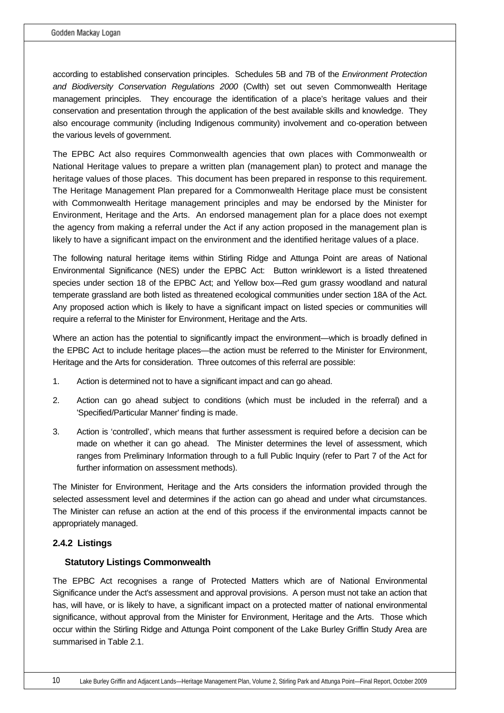according to established conservation principles. Schedules 5B and 7B of the *Environment Protection and Biodiversity Conservation Regulations 2000* (Cwlth) set out seven Commonwealth Heritage management principles. They encourage the identification of a place's heritage values and their conservation and presentation through the application of the best available skills and knowledge. They also encourage community (including Indigenous community) involvement and co-operation between the various levels of government.

The EPBC Act also requires Commonwealth agencies that own places with Commonwealth or National Heritage values to prepare a written plan (management plan) to protect and manage the heritage values of those places. This document has been prepared in response to this requirement. The Heritage Management Plan prepared for a Commonwealth Heritage place must be consistent with Commonwealth Heritage management principles and may be endorsed by the Minister for Environment, Heritage and the Arts. An endorsed management plan for a place does not exempt the agency from making a referral under the Act if any action proposed in the management plan is likely to have a significant impact on the environment and the identified heritage values of a place.

The following natural heritage items within Stirling Ridge and Attunga Point are areas of National Environmental Significance (NES) under the EPBC Act: Button wrinklewort is a listed threatened species under section 18 of the EPBC Act; and Yellow box—Red gum grassy woodland and natural temperate grassland are both listed as threatened ecological communities under section 18A of the Act. Any proposed action which is likely to have a significant impact on listed species or communities will require a referral to the Minister for Environment, Heritage and the Arts.

Where an action has the potential to significantly impact the environment—which is broadly defined in the EPBC Act to include heritage places—the action must be referred to the Minister for Environment, Heritage and the Arts for consideration. Three outcomes of this referral are possible:

- 1. Action is determined not to have a significant impact and can go ahead.
- 2. Action can go ahead subject to conditions (which must be included in the referral) and a 'Specified/Particular Manner' finding is made.
- 3. Action is 'controlled', which means that further assessment is required before a decision can be made on whether it can go ahead. The Minister determines the level of assessment, which ranges from Preliminary Information through to a full Public Inquiry (refer to Part 7 of the Act for further information on assessment methods).

The Minister for Environment, Heritage and the Arts considers the information provided through the selected assessment level and determines if the action can go ahead and under what circumstances. The Minister can refuse an action at the end of this process if the environmental impacts cannot be appropriately managed.

### **2.4.2 Listings**

#### **Statutory Listings Commonwealth**

The EPBC Act recognises a range of Protected Matters which are of National Environmental Significance under the Act's assessment and approval provisions. A person must not take an action that has, will have, or is likely to have, a significant impact on a protected matter of national environmental significance, without approval from the Minister for Environment, Heritage and the Arts. Those which occur within the Stirling Ridge and Attunga Point component of the Lake Burley Griffin Study Area are summarised in Table 2.1.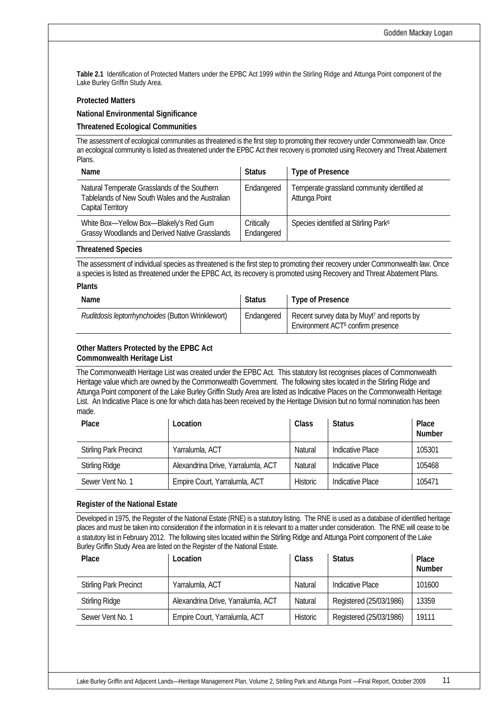**Table 2.1** Identification of Protected Matters under the EPBC Act 1999 within the Stirling Ridge and Attunga Point component of the Lake Burley Griffin Study Area.

#### **Protected Matters**

#### **National Environmental Significance**

#### **Threatened Ecological Communities**

The assessment of ecological communities as threatened is the first step to promoting their recovery under Commonwealth law. Once an ecological community is listed as threatened under the EPBC Act their recovery is promoted using Recovery and Threat Abatement Plans.

| Name                                                                                                                  | <b>Status</b>            | <b>Type of Presence</b>                                      |
|-----------------------------------------------------------------------------------------------------------------------|--------------------------|--------------------------------------------------------------|
| Natural Temperate Grasslands of the Southern<br>Tablelands of New South Wales and the Australian<br>Capital Territory | Endangered               | Temperate grassland community identified at<br>Attunga Point |
| White Box-Yellow Box-Blakely's Red Gum<br>Grassy Woodlands and Derived Native Grasslands                              | Critically<br>Endangered | Species identified at Stirling Park <sup>6</sup>             |

#### **Threatened Species**

The assessment of individual species as threatened is the first step to promoting their recovery under Commonwealth law. Once a species is listed as threatened under the EPBC Act, its recovery is promoted using Recovery and Threat Abatement Plans.

#### **Plants**

| Name                                                     | <b>Status</b> | Type of Presence                                                                                        |
|----------------------------------------------------------|---------------|---------------------------------------------------------------------------------------------------------|
| <b>Ruditdosis leptorrhynchoides (Button Wrinklewort)</b> | Endangered    | Recent survey data by Muyt <sup>7</sup> and reports by<br>Environment ACT <sup>8</sup> confirm presence |

#### **Other Matters Protected by the EPBC Act Commonwealth Heritage List**

The Commonwealth Heritage List was created under the EPBC Act. This statutory list recognises places of Commonwealth Heritage value which are owned by the Commonwealth Government. The following sites located in the Stirling Ridge and Attunga Point component of the Lake Burley Griffin Study Area are listed as Indicative Places on the Commonwealth Heritage List. An Indicative Place is one for which data has been received by the Heritage Division but no formal nomination has been made.

| Place                         | Location                           | Class           | <b>Status</b>    | Place<br><b>Number</b> |
|-------------------------------|------------------------------------|-----------------|------------------|------------------------|
| <b>Stirling Park Precinct</b> | Yarralumla, ACT                    | Natural         | Indicative Place | 105301                 |
| <b>Stirling Ridge</b>         | Alexandrina Drive, Yarralumla, ACT | Natural         | Indicative Place | 105468                 |
| Sewer Vent No. 1              | Empire Court, Yarralumla, ACT      | <b>Historic</b> | Indicative Place | 105471                 |

#### **Register of the National Estate**

Developed in 1975, the Register of the National Estate (RNE) is a statutory listing. The RNE is used as a database of identified heritage places and must be taken into consideration if the information in it is relevant to a matter under consideration. The RNE will cease to be a statutory list in February 2012. The following sites located within the Stirling Ridge and Attunga Point component of the Lake Burley Griffin Study Area are listed on the Register of the National Estate.

| Place                         | Location                           | Class           | <b>Status</b>           | Place<br>Number |
|-------------------------------|------------------------------------|-----------------|-------------------------|-----------------|
| <b>Stirling Park Precinct</b> | Yarralumla, ACT                    | <b>Natural</b>  | Indicative Place        | 101600          |
| <b>Stirling Ridge</b>         | Alexandrina Drive, Yarralumla, ACT | Natural         | Registered (25/03/1986) | 13359           |
| Sewer Vent No. 1              | Empire Court, Yarralumla, ACT      | <b>Historic</b> | Registered (25/03/1986) | 19111           |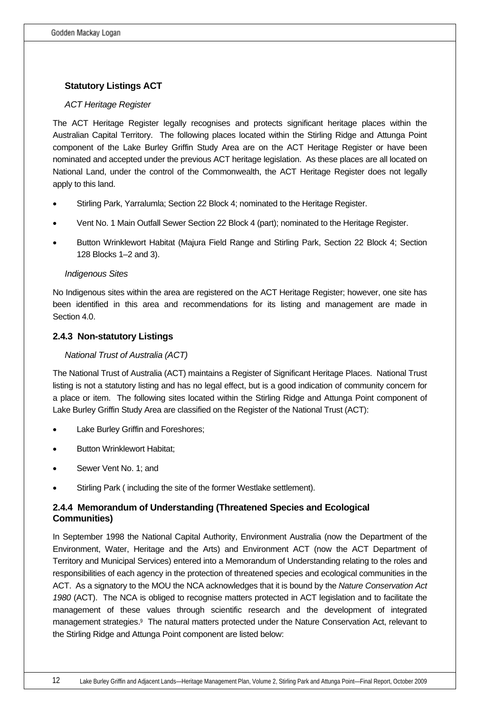# **Statutory Listings ACT**

#### *ACT Heritage Register*

The ACT Heritage Register legally recognises and protects significant heritage places within the Australian Capital Territory. The following places located within the Stirling Ridge and Attunga Point component of the Lake Burley Griffin Study Area are on the ACT Heritage Register or have been nominated and accepted under the previous ACT heritage legislation. As these places are all located on National Land, under the control of the Commonwealth, the ACT Heritage Register does not legally apply to this land.

- Stirling Park, Yarralumla; Section 22 Block 4; nominated to the Heritage Register.
- Vent No. 1 Main Outfall Sewer Section 22 Block 4 (part); nominated to the Heritage Register.
- Button Wrinklewort Habitat (Majura Field Range and Stirling Park, Section 22 Block 4; Section 128 Blocks 1–2 and 3).

#### *Indigenous Sites*

No Indigenous sites within the area are registered on the ACT Heritage Register; however, one site has been identified in this area and recommendations for its listing and management are made in Section 4.0.

### **2.4.3 Non-statutory Listings**

#### *National Trust of Australia (ACT)*

The National Trust of Australia (ACT) maintains a Register of Significant Heritage Places. National Trust listing is not a statutory listing and has no legal effect, but is a good indication of community concern for a place or item. The following sites located within the Stirling Ridge and Attunga Point component of Lake Burley Griffin Study Area are classified on the Register of the National Trust (ACT):

- Lake Burley Griffin and Foreshores;
- Button Wrinklewort Habitat;
- Sewer Vent No. 1; and
- Stirling Park ( including the site of the former Westlake settlement).

### **2.4.4 Memorandum of Understanding (Threatened Species and Ecological Communities)**

In September 1998 the National Capital Authority, Environment Australia (now the Department of the Environment, Water, Heritage and the Arts) and Environment ACT (now the ACT Department of Territory and Municipal Services) entered into a Memorandum of Understanding relating to the roles and responsibilities of each agency in the protection of threatened species and ecological communities in the ACT. As a signatory to the MOU the NCA acknowledges that it is bound by the *Nature Conservation Act 1980* (ACT). The NCA is obliged to recognise matters protected in ACT legislation and to facilitate the management of these values through scientific research and the development of integrated management strategies.9 The natural matters protected under the Nature Conservation Act, relevant to the Stirling Ridge and Attunga Point component are listed below: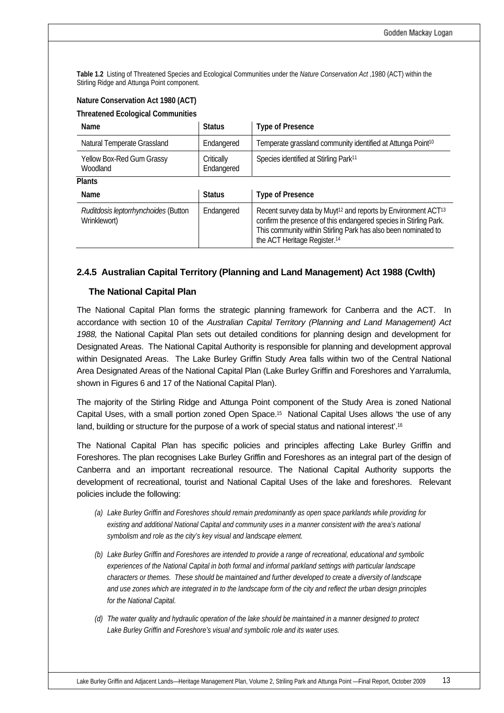**Table 1.2** Listing of Threatened Species and Ecological Communities under the *Nature Conservation Act* ,1980 (ACT) within the Stirling Ridge and Attunga Point component.

#### **Nature Conservation Act 1980 (ACT)**

#### **Threatened Ecological Communities**

| Name                                                 | <b>Status</b>            | <b>Type of Presence</b>                                                                                                                                                                                                                                                  |  |
|------------------------------------------------------|--------------------------|--------------------------------------------------------------------------------------------------------------------------------------------------------------------------------------------------------------------------------------------------------------------------|--|
| Natural Temperate Grassland                          | Endangered               | Temperate grassland community identified at Attunga Point <sup>10</sup>                                                                                                                                                                                                  |  |
| Yellow Box-Red Gum Grassy<br><b>Woodland</b>         | Critically<br>Endangered | Species identified at Stirling Park <sup>11</sup>                                                                                                                                                                                                                        |  |
| <b>Plants</b>                                        |                          |                                                                                                                                                                                                                                                                          |  |
| Name                                                 | <b>Status</b>            | <b>Type of Presence</b>                                                                                                                                                                                                                                                  |  |
| Ruditdosis leptorrhynchoides (Button<br>Wrinklewort) | Endangered               | Recent survey data by Muyt <sup>12</sup> and reports by Environment ACT <sup>13</sup><br>confirm the presence of this endangered species in Stirling Park.<br>This community within Stirling Park has also been nominated to<br>the ACT Heritage Register. <sup>14</sup> |  |

#### **2.4.5 Australian Capital Territory (Planning and Land Management) Act 1988 (Cwlth)**

#### **The National Capital Plan**

The National Capital Plan forms the strategic planning framework for Canberra and the ACT. In accordance with section 10 of the *Australian Capital Territory (Planning and Land Management) Act 1988,* the National Capital Plan sets out detailed conditions for planning design and development for Designated Areas. The National Capital Authority is responsible for planning and development approval within Designated Areas. The Lake Burley Griffin Study Area falls within two of the Central National Area Designated Areas of the National Capital Plan (Lake Burley Griffin and Foreshores and Yarralumla, shown in Figures 6 and 17 of the National Capital Plan).

The majority of the Stirling Ridge and Attunga Point component of the Study Area is zoned National Capital Uses, with a small portion zoned Open Space.15 National Capital Uses allows 'the use of any land, building or structure for the purpose of a work of special status and national interest'.<sup>16</sup>

The National Capital Plan has specific policies and principles affecting Lake Burley Griffin and Foreshores. The plan recognises Lake Burley Griffin and Foreshores as an integral part of the design of Canberra and an important recreational resource. The National Capital Authority supports the development of recreational, tourist and National Capital Uses of the lake and foreshores. Relevant policies include the following:

- *(a) Lake Burley Griffin and Foreshores should remain predominantly as open space parklands while providing for existing and additional National Capital and community uses in a manner consistent with the area's national symbolism and role as the city's key visual and landscape element.*
- *(b) Lake Burley Griffin and Foreshores are intended to provide a range of recreational, educational and symbolic experiences of the National Capital in both formal and informal parkland settings with particular landscape characters or themes. These should be maintained and further developed to create a diversity of landscape and use zones which are integrated in to the landscape form of the city and reflect the urban design principles for the National Capital.*
- *(d) The water quality and hydraulic operation of the lake should be maintained in a manner designed to protect Lake Burley Griffin and Foreshore's visual and symbolic role and its water uses.*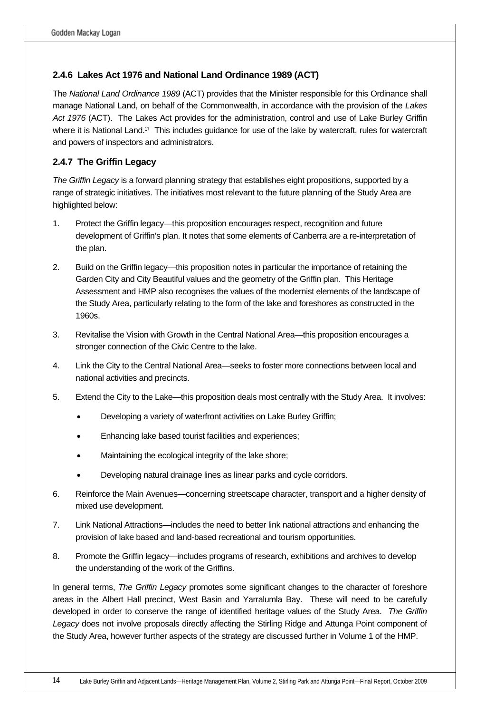### **2.4.6 Lakes Act 1976 and National Land Ordinance 1989 (ACT)**

The *National Land Ordinance 1989* (ACT) provides that the Minister responsible for this Ordinance shall manage National Land, on behalf of the Commonwealth, in accordance with the provision of the *Lakes Act 1976* (ACT). The Lakes Act provides for the administration, control and use of Lake Burley Griffin where it is National Land.<sup>17</sup> This includes guidance for use of the lake by watercraft, rules for watercraft and powers of inspectors and administrators.

### **2.4.7 The Griffin Legacy**

*The Griffin Legacy* is a forward planning strategy that establishes eight propositions, supported by a range of strategic initiatives. The initiatives most relevant to the future planning of the Study Area are highlighted below:

- 1. Protect the Griffin legacy—this proposition encourages respect, recognition and future development of Griffin's plan. It notes that some elements of Canberra are a re-interpretation of the plan.
- 2. Build on the Griffin legacy—this proposition notes in particular the importance of retaining the Garden City and City Beautiful values and the geometry of the Griffin plan. This Heritage Assessment and HMP also recognises the values of the modernist elements of the landscape of the Study Area, particularly relating to the form of the lake and foreshores as constructed in the 1960s.
- 3. Revitalise the Vision with Growth in the Central National Area—this proposition encourages a stronger connection of the Civic Centre to the lake.
- 4. Link the City to the Central National Area—seeks to foster more connections between local and national activities and precincts.
- 5. Extend the City to the Lake—this proposition deals most centrally with the Study Area. It involves:
	- Developing a variety of waterfront activities on Lake Burley Griffin;
	- Enhancing lake based tourist facilities and experiences;
	- Maintaining the ecological integrity of the lake shore;
	- Developing natural drainage lines as linear parks and cycle corridors.
- 6. Reinforce the Main Avenues—concerning streetscape character, transport and a higher density of mixed use development.
- 7. Link National Attractions—includes the need to better link national attractions and enhancing the provision of lake based and land-based recreational and tourism opportunities.
- 8. Promote the Griffin legacy—includes programs of research, exhibitions and archives to develop the understanding of the work of the Griffins.

In general terms, *The Griffin Legacy* promotes some significant changes to the character of foreshore areas in the Albert Hall precinct, West Basin and Yarralumla Bay. These will need to be carefully developed in order to conserve the range of identified heritage values of the Study Area. *The Griffin Legacy* does not involve proposals directly affecting the Stirling Ridge and Attunga Point component of the Study Area, however further aspects of the strategy are discussed further in Volume 1 of the HMP.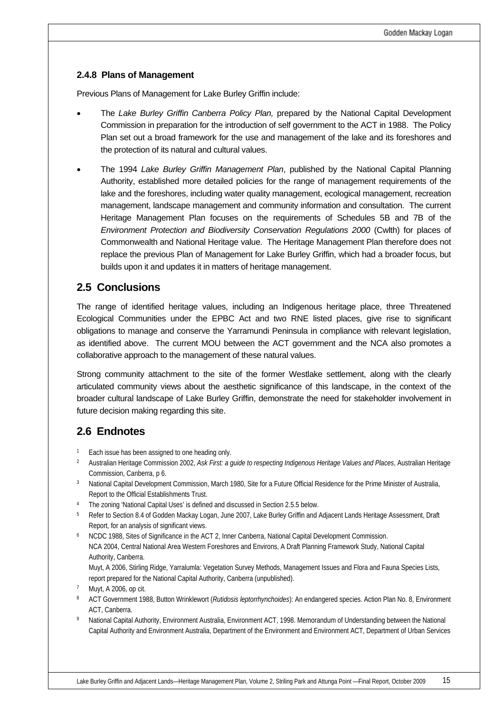#### **2.4.8 Plans of Management**

Previous Plans of Management for Lake Burley Griffin include:

- The *Lake Burley Griffin Canberra Policy Plan,* prepared by the National Capital Development Commission in preparation for the introduction of self government to the ACT in 1988. The Policy Plan set out a broad framework for the use and management of the lake and its foreshores and the protection of its natural and cultural values.
- The 1994 *Lake Burley Griffin Management Plan*, published by the National Capital Planning Authority, established more detailed policies for the range of management requirements of the lake and the foreshores, including water quality management, ecological management, recreation management, landscape management and community information and consultation. The current Heritage Management Plan focuses on the requirements of Schedules 5B and 7B of the *Environment Protection and Biodiversity Conservation Regulations 2000* (Cwlth) for places of Commonwealth and National Heritage value. The Heritage Management Plan therefore does not replace the previous Plan of Management for Lake Burley Griffin, which had a broader focus, but builds upon it and updates it in matters of heritage management.

## **2.5 Conclusions**

The range of identified heritage values, including an Indigenous heritage place, three Threatened Ecological Communities under the EPBC Act and two RNE listed places, give rise to significant obligations to manage and conserve the Yarramundi Peninsula in compliance with relevant legislation, as identified above. The current MOU between the ACT government and the NCA also promotes a collaborative approach to the management of these natural values.

Strong community attachment to the site of the former Westlake settlement, along with the clearly articulated community views about the aesthetic significance of this landscape, in the context of the broader cultural landscape of Lake Burley Griffin, demonstrate the need for stakeholder involvement in future decision making regarding this site.

# **2.6 Endnotes**

- <sup>1</sup> Each issue has been assigned to one heading only.
- 2 Australian Heritage Commission 2002, *Ask First: a guide to respecting Indigenous Heritage Values and Places*, Australian Heritage Commission, Canberra, p 6.
- 3 National Capital Development Commission, March 1980, Site for a Future Official Residence for the Prime Minister of Australia, Report to the Official Establishments Trust.
- 4 The zoning 'National Capital Uses' is defined and discussed in Section 2.5.5 below.
- 5 Refer to Section 8.4 of Godden Mackay Logan, June 2007, Lake Burley Griffin and Adjacent Lands Heritage Assessment, Draft Report, for an analysis of significant views.
- 6 NCDC 1988, Sites of Significance in the ACT 2, Inner Canberra, National Capital Development Commission. NCA 2004, Central National Area Western Foreshores and Environs, A Draft Planning Framework Study, National Capital Authority, Canberra.

 Muyt, A 2006, Stirling Ridge, Yarralumla: Vegetation Survey Methods, Management Issues and Flora and Fauna Species Lists, report prepared for the National Capital Authority, Canberra (unpublished).

7 Muyt, A 2006, op cit.

- 8 ACT Government 1988, Button Wrinklewort (*Rutidosis leptorrhynchoides*): An endangered species. Action Plan No. 8, Environment ACT, Canberra.
- 9 National Capital Authority, Environment Australia, Environment ACT, 1998. Memorandum of Understanding between the National Capital Authority and Environment Australia, Department of the Environment and Environment ACT, Department of Urban Services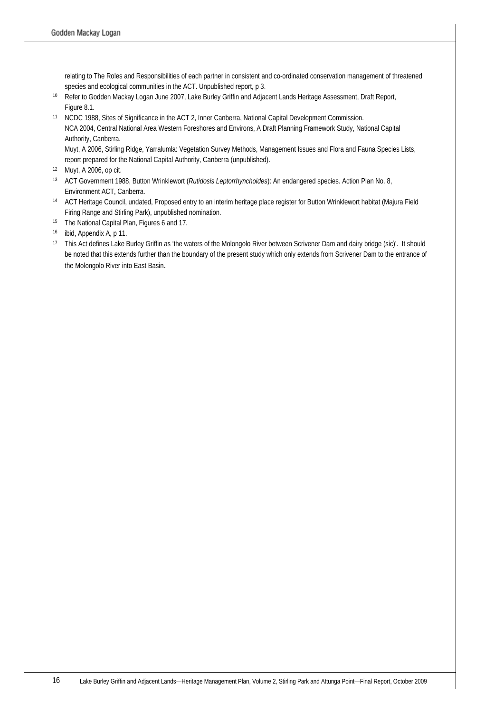relating to The Roles and Responsibilities of each partner in consistent and co-ordinated conservation management of threatened species and ecological communities in the ACT. Unpublished report, p 3.

- 10 Refer to Godden Mackay Logan June 2007, Lake Burley Griffin and Adjacent Lands Heritage Assessment, Draft Report, Figure 8.1.
- 11 NCDC 1988, Sites of Significance in the ACT 2, Inner Canberra, National Capital Development Commission. NCA 2004, Central National Area Western Foreshores and Environs, A Draft Planning Framework Study, National Capital Authority, Canberra.

 Muyt, A 2006, Stirling Ridge, Yarralumla: Vegetation Survey Methods, Management Issues and Flora and Fauna Species Lists, report prepared for the National Capital Authority, Canberra (unpublished).

- 13 ACT Government 1988, Button Wrinklewort (*Rutidosis Leptorrhynchoides*): An endangered species. Action Plan No. 8, Environment ACT, Canberra.
- 14 ACT Heritage Council, undated, Proposed entry to an interim heritage place register for Button Wrinklewort habitat (Majura Field Firing Range and Stirling Park), unpublished nomination.
- 15 The National Capital Plan, Figures 6 and 17.
- 16 ibid, Appendix A, p 11.
- 17 This Act defines Lake Burley Griffin as 'the waters of the Molongolo River between Scrivener Dam and dairy bridge (sic)'. It should be noted that this extends further than the boundary of the present study which only extends from Scrivener Dam to the entrance of the Molongolo River into East Basin.

<sup>12</sup> Muyt, A 2006, op cit.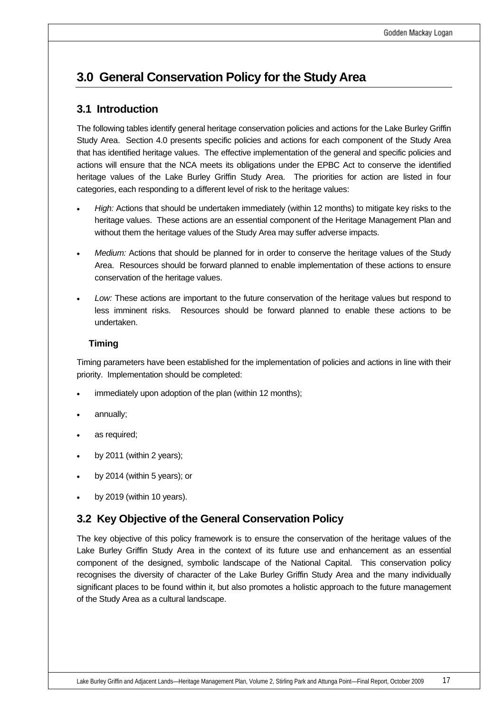# **3.0 General Conservation Policy for the Study Area**

# **3.1 Introduction**

The following tables identify general heritage conservation policies and actions for the Lake Burley Griffin Study Area. Section 4.0 presents specific policies and actions for each component of the Study Area that has identified heritage values. The effective implementation of the general and specific policies and actions will ensure that the NCA meets its obligations under the EPBC Act to conserve the identified heritage values of the Lake Burley Griffin Study Area. The priorities for action are listed in four categories, each responding to a different level of risk to the heritage values:

- *High:* Actions that should be undertaken immediately (within 12 months) to mitigate key risks to the heritage values. These actions are an essential component of the Heritage Management Plan and without them the heritage values of the Study Area may suffer adverse impacts.
- *Medium:* Actions that should be planned for in order to conserve the heritage values of the Study Area. Resources should be forward planned to enable implementation of these actions to ensure conservation of the heritage values.
- *Low:* These actions are important to the future conservation of the heritage values but respond to less imminent risks. Resources should be forward planned to enable these actions to be undertaken.

### **Timing**

Timing parameters have been established for the implementation of policies and actions in line with their priority. Implementation should be completed:

- immediately upon adoption of the plan (within 12 months);
- annually;
- as required;
- by 2011 (within 2 years);
- by 2014 (within 5 years); or
- by 2019 (within 10 years).

# **3.2 Key Objective of the General Conservation Policy**

The key objective of this policy framework is to ensure the conservation of the heritage values of the Lake Burley Griffin Study Area in the context of its future use and enhancement as an essential component of the designed, symbolic landscape of the National Capital. This conservation policy recognises the diversity of character of the Lake Burley Griffin Study Area and the many individually significant places to be found within it, but also promotes a holistic approach to the future management of the Study Area as a cultural landscape.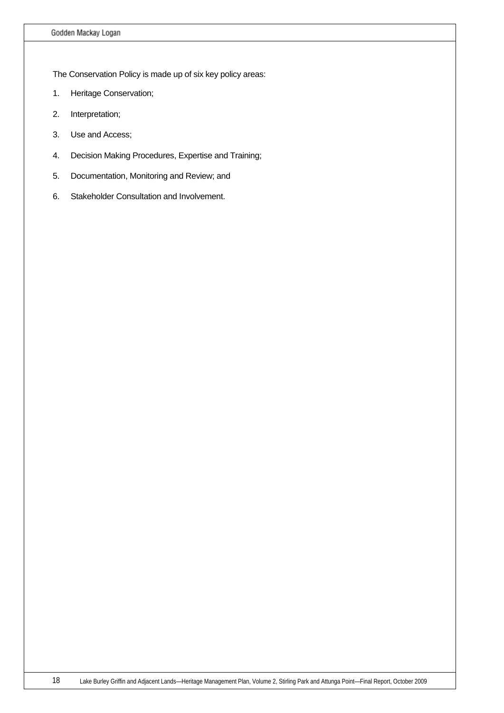The Conservation Policy is made up of six key policy areas:

- 1. Heritage Conservation;
- 2. Interpretation;
- 3. Use and Access;
- 4. Decision Making Procedures, Expertise and Training;
- 5. Documentation, Monitoring and Review; and
- 6. Stakeholder Consultation and Involvement.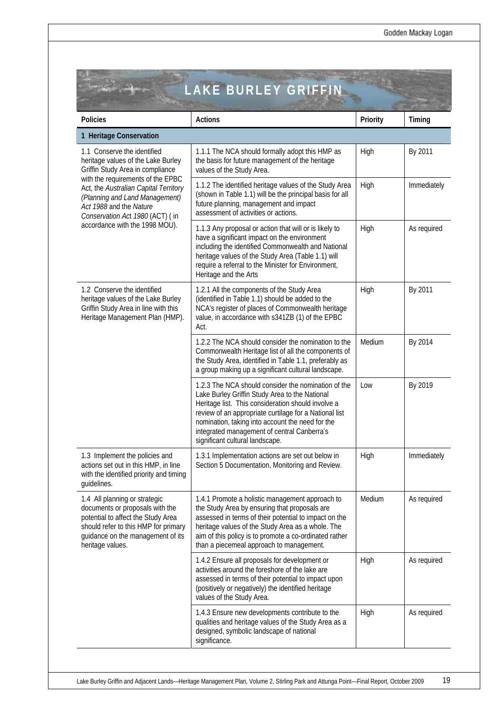| <b>Policies</b>                                                                                                                                                                                         | Actions                                                                                                                                                                                                                                                                                                                                                     | Priority | Timing      |
|---------------------------------------------------------------------------------------------------------------------------------------------------------------------------------------------------------|-------------------------------------------------------------------------------------------------------------------------------------------------------------------------------------------------------------------------------------------------------------------------------------------------------------------------------------------------------------|----------|-------------|
| 1 Heritage Conservation                                                                                                                                                                                 |                                                                                                                                                                                                                                                                                                                                                             |          |             |
| 1.1 Conserve the identified<br>heritage values of the Lake Burley<br>Griffin Study Area in compliance                                                                                                   | 1.1.1 The NCA should formally adopt this HMP as<br>High<br>the basis for future management of the heritage<br>values of the Study Area.                                                                                                                                                                                                                     |          | By 2011     |
| with the requirements of the EPBC<br>Act, the Australian Capital Territory<br>(Planning and Land Management)<br>Act 1988 and the Nature<br>Conservation Act 1980 (ACT) (in                              | 1.1.2 The identified heritage values of the Study Area<br>(shown in Table 1.1) will be the principal basis for all<br>future planning, management and impact<br>assessment of activities or actions.                                                                                                                                                        | High     | Immediately |
| accordance with the 1998 MOU).                                                                                                                                                                          | 1.1.3 Any proposal or action that will or is likely to<br>have a significant impact on the environment<br>including the identified Commonwealth and National<br>heritage values of the Study Area (Table 1.1) will<br>require a referral to the Minister for Environment,<br>Heritage and the Arts                                                          | High     | As required |
| 1.2 Conserve the identified<br>heritage values of the Lake Burley<br>Griffin Study Area in line with this<br>Heritage Management Plan (HMP).                                                            | 1.2.1 All the components of the Study Area<br>(identified in Table 1.1) should be added to the<br>NCA's register of places of Commonwealth heritage<br>value, in accordance with s341ZB (1) of the EPBC<br>Act.                                                                                                                                             | High     | By 2011     |
|                                                                                                                                                                                                         | 1.2.2 The NCA should consider the nomination to the<br>Commonwealth Heritage list of all the components of<br>the Study Area, identified in Table 1.1, preferably as<br>a group making up a significant cultural landscape.                                                                                                                                 | Medium   | By 2014     |
|                                                                                                                                                                                                         | 1.2.3 The NCA should consider the nomination of the<br>Lake Burley Griffin Study Area to the National<br>Heritage list. This consideration should involve a<br>review of an appropriate curtilage for a National list<br>nomination, taking into account the need for the<br>integrated management of central Canberra's<br>significant cultural landscape. | Low      | By 2019     |
| 1.3 Implement the policies and<br>actions set out in this HMP, in line<br>with the identified priority and timing<br>guidelines.                                                                        | 1.3.1 Implementation actions are set out below in<br>Section 5 Documentation, Monitoring and Review.                                                                                                                                                                                                                                                        | High     | Immediately |
| 1.4 All planning or strategic<br>documents or proposals with the<br>potential to affect the Study Area<br>should refer to this HMP for primary<br>guidance on the management of its<br>heritage values. | 1.4.1 Promote a holistic management approach to<br>the Study Area by ensuring that proposals are<br>assessed in terms of their potential to impact on the<br>heritage values of the Study Area as a whole. The<br>aim of this policy is to promote a co-ordinated rather<br>than a piecemeal approach to management.                                        | Medium   | As required |
|                                                                                                                                                                                                         | 1.4.2 Ensure all proposals for development or<br>activities around the foreshore of the lake are<br>assessed in terms of their potential to impact upon<br>(positively or negatively) the identified heritage<br>values of the Study Area.                                                                                                                  | High     | As required |
|                                                                                                                                                                                                         | 1.4.3 Ensure new developments contribute to the<br>qualities and heritage values of the Study Area as a<br>designed, symbolic landscape of national<br>significance.                                                                                                                                                                                        | High     | As required |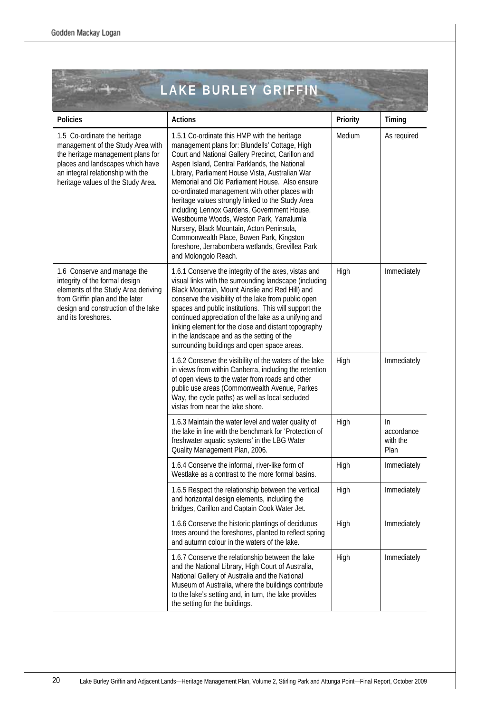|                                                                                                                                                                                                                       | LAKE BURLEY GRIFFIN                                                                                                                                                                                                                                                                                                                                                                                                                                                                                                                                                                                                                                                               |          |                                      |
|-----------------------------------------------------------------------------------------------------------------------------------------------------------------------------------------------------------------------|-----------------------------------------------------------------------------------------------------------------------------------------------------------------------------------------------------------------------------------------------------------------------------------------------------------------------------------------------------------------------------------------------------------------------------------------------------------------------------------------------------------------------------------------------------------------------------------------------------------------------------------------------------------------------------------|----------|--------------------------------------|
| <b>Policies</b>                                                                                                                                                                                                       | Actions                                                                                                                                                                                                                                                                                                                                                                                                                                                                                                                                                                                                                                                                           | Priority | Timing                               |
| 1.5 Co-ordinate the heritage<br>management of the Study Area with<br>the heritage management plans for<br>places and landscapes which have<br>an integral relationship with the<br>heritage values of the Study Area. | 1.5.1 Co-ordinate this HMP with the heritage<br>management plans for: Blundells' Cottage, High<br>Court and National Gallery Precinct, Carillon and<br>Aspen Island, Central Parklands, the National<br>Library, Parliament House Vista, Australian War<br>Memorial and Old Parliament House. Also ensure<br>co-ordinated management with other places with<br>heritage values strongly linked to the Study Area<br>including Lennox Gardens, Government House,<br>Westbourne Woods, Weston Park, Yarralumla<br>Nursery, Black Mountain, Acton Peninsula,<br>Commonwealth Place, Bowen Park, Kingston<br>foreshore, Jerrabombera wetlands, Grevillea Park<br>and Molongolo Reach. | Medium   | As required                          |
| 1.6 Conserve and manage the<br>integrity of the formal design<br>elements of the Study Area deriving<br>from Griffin plan and the later<br>design and construction of the lake<br>and its foreshores.                 | 1.6.1 Conserve the integrity of the axes, vistas and<br>visual links with the surrounding landscape (including<br>Black Mountain, Mount Ainslie and Red Hill) and<br>conserve the visibility of the lake from public open<br>spaces and public institutions. This will support the<br>continued appreciation of the lake as a unifying and<br>linking element for the close and distant topography<br>in the landscape and as the setting of the<br>surrounding buildings and open space areas.                                                                                                                                                                                   | High     | Immediately                          |
|                                                                                                                                                                                                                       | 1.6.2 Conserve the visibility of the waters of the lake<br>in views from within Canberra, including the retention<br>of open views to the water from roads and other<br>public use areas (Commonwealth Avenue, Parkes<br>Way, the cycle paths) as well as local secluded<br>vistas from near the lake shore.                                                                                                                                                                                                                                                                                                                                                                      | High     | Immediately                          |
|                                                                                                                                                                                                                       | 1.6.3 Maintain the water level and water quality of<br>the lake in line with the benchmark for 'Protection of<br>freshwater aquatic systems' in the LBG Water<br>Quality Management Plan, 2006.                                                                                                                                                                                                                                                                                                                                                                                                                                                                                   | High     | In<br>accordance<br>with the<br>Plan |
|                                                                                                                                                                                                                       | 1.6.4 Conserve the informal, river-like form of<br>Westlake as a contrast to the more formal basins.                                                                                                                                                                                                                                                                                                                                                                                                                                                                                                                                                                              | High     | Immediately                          |
|                                                                                                                                                                                                                       | 1.6.5 Respect the relationship between the vertical<br>and horizontal design elements, including the<br>bridges, Carillon and Captain Cook Water Jet.                                                                                                                                                                                                                                                                                                                                                                                                                                                                                                                             | High     | Immediately                          |
|                                                                                                                                                                                                                       | 1.6.6 Conserve the historic plantings of deciduous<br>trees around the foreshores, planted to reflect spring<br>and autumn colour in the waters of the lake.                                                                                                                                                                                                                                                                                                                                                                                                                                                                                                                      | High     | Immediately                          |
|                                                                                                                                                                                                                       | 1.6.7 Conserve the relationship between the lake<br>and the National Library, High Court of Australia,<br>National Gallery of Australia and the National<br>Museum of Australia, where the buildings contribute<br>to the lake's setting and, in turn, the lake provides<br>the setting for the buildings.                                                                                                                                                                                                                                                                                                                                                                        | High     | Immediately                          |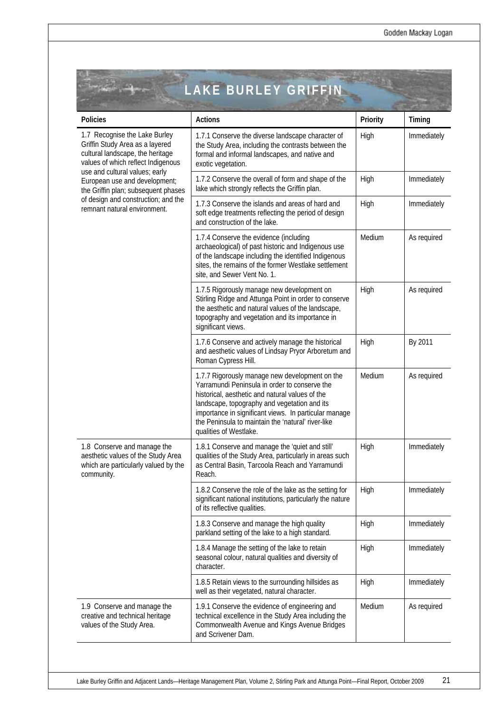| <b>Policies</b>                                                                                                                            | <b>Actions</b>                                                                                                                                                                                                                                                                                                                              | Priority | Timing      |
|--------------------------------------------------------------------------------------------------------------------------------------------|---------------------------------------------------------------------------------------------------------------------------------------------------------------------------------------------------------------------------------------------------------------------------------------------------------------------------------------------|----------|-------------|
| 1.7 Recognise the Lake Burley<br>Griffin Study Area as a layered<br>cultural landscape, the heritage<br>values of which reflect Indigenous | 1.7.1 Conserve the diverse landscape character of<br>the Study Area, including the contrasts between the<br>formal and informal landscapes, and native and<br>exotic vegetation.                                                                                                                                                            | High     | Immediately |
| use and cultural values; early<br>European use and development;<br>the Griffin plan; subsequent phases                                     | 1.7.2 Conserve the overall of form and shape of the<br>lake which strongly reflects the Griffin plan.                                                                                                                                                                                                                                       | High     | Immediately |
| of design and construction; and the<br>remnant natural environment.                                                                        | 1.7.3 Conserve the islands and areas of hard and<br>soft edge treatments reflecting the period of design<br>and construction of the lake.                                                                                                                                                                                                   | High     | Immediately |
|                                                                                                                                            | 1.7.4 Conserve the evidence (including<br>archaeological) of past historic and Indigenous use<br>of the landscape including the identified Indigenous<br>sites, the remains of the former Westlake settlement<br>site, and Sewer Vent No. 1.                                                                                                | Medium   | As required |
|                                                                                                                                            | 1.7.5 Rigorously manage new development on<br>Stirling Ridge and Attunga Point in order to conserve<br>the aesthetic and natural values of the landscape,<br>topography and vegetation and its importance in<br>significant views.                                                                                                          | High     | As required |
|                                                                                                                                            | 1.7.6 Conserve and actively manage the historical<br>and aesthetic values of Lindsay Pryor Arboretum and<br>Roman Cypress Hill.                                                                                                                                                                                                             | High     | By 2011     |
|                                                                                                                                            | 1.7.7 Rigorously manage new development on the<br>Yarramundi Peninsula in order to conserve the<br>historical, aesthetic and natural values of the<br>landscape, topography and vegetation and its<br>importance in significant views. In particular manage<br>the Peninsula to maintain the 'natural' river-like<br>qualities of Westlake. | Medium   | As required |
| 1.8 Conserve and manage the<br>aesthetic values of the Study Area<br>which are particularly valued by the<br>community.                    | 1.8.1 Conserve and manage the 'quiet and still'<br>qualities of the Study Area, particularly in areas such<br>as Central Basin, Tarcoola Reach and Yarramundi<br>Reach.                                                                                                                                                                     | High     | Immediately |
|                                                                                                                                            | 1.8.2 Conserve the role of the lake as the setting for<br>significant national institutions, particularly the nature<br>of its reflective qualities.                                                                                                                                                                                        | High     | Immediately |
|                                                                                                                                            | 1.8.3 Conserve and manage the high quality<br>parkland setting of the lake to a high standard.                                                                                                                                                                                                                                              | High     | Immediately |
|                                                                                                                                            | 1.8.4 Manage the setting of the lake to retain<br>seasonal colour, natural qualities and diversity of<br>character.                                                                                                                                                                                                                         | High     | Immediately |
|                                                                                                                                            | 1.8.5 Retain views to the surrounding hillsides as<br>well as their vegetated, natural character.                                                                                                                                                                                                                                           | High     | Immediately |
| 1.9 Conserve and manage the<br>creative and technical heritage<br>values of the Study Area.                                                | 1.9.1 Conserve the evidence of engineering and<br>technical excellence in the Study Area including the<br>Commonwealth Avenue and Kings Avenue Bridges<br>and Scrivener Dam.                                                                                                                                                                | Medium   | As required |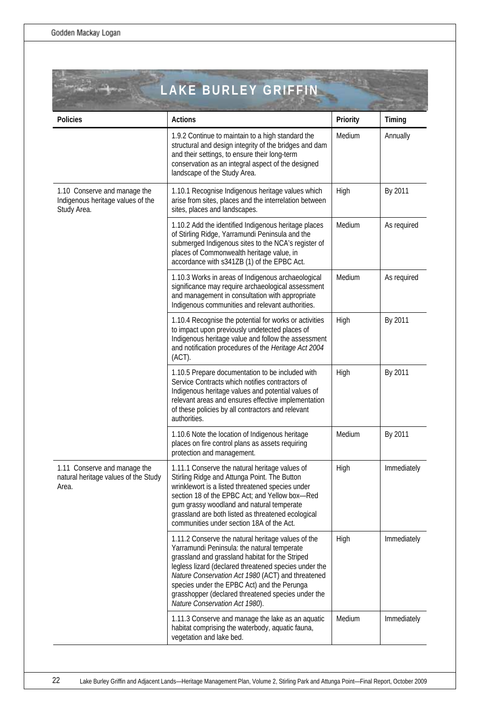|                                                                                  | LAKE BURLEY GRIFFIN                                                                                                                                                                                                                                                                                                                                                                                       |          |             |  |
|----------------------------------------------------------------------------------|-----------------------------------------------------------------------------------------------------------------------------------------------------------------------------------------------------------------------------------------------------------------------------------------------------------------------------------------------------------------------------------------------------------|----------|-------------|--|
| <b>Policies</b>                                                                  | Actions                                                                                                                                                                                                                                                                                                                                                                                                   | Priority | Timing      |  |
|                                                                                  | 1.9.2 Continue to maintain to a high standard the<br>structural and design integrity of the bridges and dam<br>and their settings, to ensure their long-term<br>conservation as an integral aspect of the designed<br>landscape of the Study Area.                                                                                                                                                        | Medium   | Annually    |  |
| 1.10 Conserve and manage the<br>Indigenous heritage values of the<br>Study Area. | 1.10.1 Recognise Indigenous heritage values which<br>arise from sites, places and the interrelation between<br>sites, places and landscapes.                                                                                                                                                                                                                                                              | High     | By 2011     |  |
|                                                                                  | 1.10.2 Add the identified Indigenous heritage places<br>of Stirling Ridge, Yarramundi Peninsula and the<br>submerged Indigenous sites to the NCA's register of<br>places of Commonwealth heritage value, in<br>accordance with s341ZB (1) of the EPBC Act.                                                                                                                                                | Medium   | As required |  |
|                                                                                  | 1.10.3 Works in areas of Indigenous archaeological<br>significance may require archaeological assessment<br>and management in consultation with appropriate<br>Indigenous communities and relevant authorities.                                                                                                                                                                                           | Medium   | As required |  |
|                                                                                  | 1.10.4 Recognise the potential for works or activities<br>to impact upon previously undetected places of<br>Indigenous heritage value and follow the assessment<br>and notification procedures of the Heritage Act 2004<br>(ACT).                                                                                                                                                                         | High     | By 2011     |  |
|                                                                                  | 1.10.5 Prepare documentation to be included with<br>Service Contracts which notifies contractors of<br>Indigenous heritage values and potential values of<br>relevant areas and ensures effective implementation<br>of these policies by all contractors and relevant<br>authorities.                                                                                                                     | High     | By 2011     |  |
|                                                                                  | 1.10.6 Note the location of Indigenous heritage<br>places on fire control plans as assets requiring<br>protection and management.                                                                                                                                                                                                                                                                         | Medium   | By 2011     |  |
| 1.11 Conserve and manage the<br>natural heritage values of the Study<br>Area.    | 1.11.1 Conserve the natural heritage values of<br>Stirling Ridge and Attunga Point. The Button<br>wrinklewort is a listed threatened species under<br>section 18 of the EPBC Act; and Yellow box-Red<br>gum grassy woodland and natural temperate<br>grassland are both listed as threatened ecological<br>communities under section 18A of the Act.                                                      | High     | Immediately |  |
|                                                                                  | 1.11.2 Conserve the natural heritage values of the<br>Yarramundi Peninsula: the natural temperate<br>grassland and grassland habitat for the Striped<br>legless lizard (declared threatened species under the<br>Nature Conservation Act 1980 (ACT) and threatened<br>species under the EPBC Act) and the Perunga<br>grasshopper (declared threatened species under the<br>Nature Conservation Act 1980). | High     | Immediately |  |
|                                                                                  | 1.11.3 Conserve and manage the lake as an aquatic<br>habitat comprising the waterbody, aquatic fauna,<br>vegetation and lake bed.                                                                                                                                                                                                                                                                         | Medium   | Immediately |  |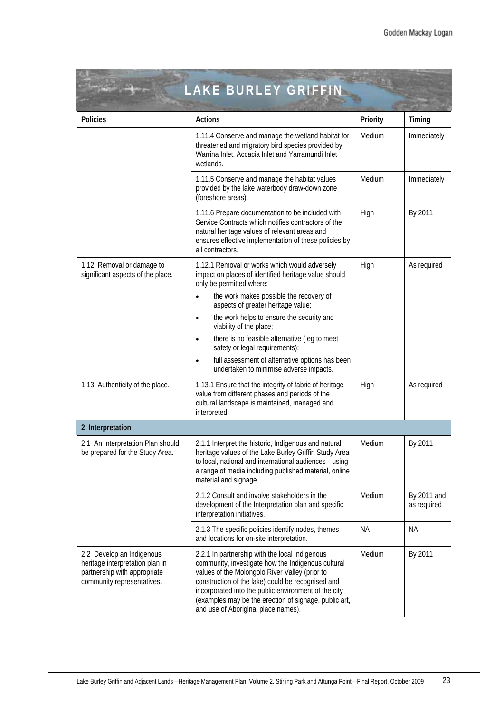| <b>Policies</b>                                                                                                            | <b>Actions</b>                                                                                                                                                                                                                                                                                                                                                      | Priority | Timing                     |
|----------------------------------------------------------------------------------------------------------------------------|---------------------------------------------------------------------------------------------------------------------------------------------------------------------------------------------------------------------------------------------------------------------------------------------------------------------------------------------------------------------|----------|----------------------------|
|                                                                                                                            | 1.11.4 Conserve and manage the wetland habitat for<br>threatened and migratory bird species provided by<br>Warrina Inlet, Accacia Inlet and Yarramundi Inlet<br>wetlands.                                                                                                                                                                                           | Medium   | Immediately                |
|                                                                                                                            | 1.11.5 Conserve and manage the habitat values<br>provided by the lake waterbody draw-down zone<br>(foreshore areas).                                                                                                                                                                                                                                                | Medium   | Immediately                |
|                                                                                                                            | 1.11.6 Prepare documentation to be included with<br>Service Contracts which notifies contractors of the<br>natural heritage values of relevant areas and<br>ensures effective implementation of these policies by<br>all contractors.                                                                                                                               | High     | By 2011                    |
| 1.12 Removal or damage to<br>significant aspects of the place.                                                             | 1.12.1 Removal or works which would adversely<br>impact on places of identified heritage value should<br>only be permitted where:                                                                                                                                                                                                                                   | High     | As required                |
|                                                                                                                            | the work makes possible the recovery of<br>$\bullet$<br>aspects of greater heritage value;                                                                                                                                                                                                                                                                          |          |                            |
|                                                                                                                            | the work helps to ensure the security and<br>$\bullet$<br>viability of the place;                                                                                                                                                                                                                                                                                   |          |                            |
|                                                                                                                            | there is no feasible alternative (eg to meet<br>safety or legal requirements);                                                                                                                                                                                                                                                                                      |          |                            |
|                                                                                                                            | full assessment of alternative options has been<br>undertaken to minimise adverse impacts.                                                                                                                                                                                                                                                                          |          |                            |
| 1.13 Authenticity of the place.                                                                                            | 1.13.1 Ensure that the integrity of fabric of heritage<br>value from different phases and periods of the<br>cultural landscape is maintained, managed and<br>interpreted.                                                                                                                                                                                           | High     | As required                |
| 2 Interpretation                                                                                                           |                                                                                                                                                                                                                                                                                                                                                                     |          |                            |
| 2.1 An Interpretation Plan should<br>be prepared for the Study Area.                                                       | 2.1.1 Interpret the historic, Indigenous and natural<br>heritage values of the Lake Burley Griffin Study Area<br>to local, national and international audiences-using<br>a range of media including published material, online<br>material and signage.                                                                                                             | Medium   | By 2011                    |
|                                                                                                                            | 2.1.2 Consult and involve stakeholders in the<br>development of the Interpretation plan and specific<br>interpretation initiatives.                                                                                                                                                                                                                                 | Medium   | By 2011 and<br>as required |
|                                                                                                                            | 2.1.3 The specific policies identify nodes, themes<br>and locations for on-site interpretation.                                                                                                                                                                                                                                                                     | ΝA       | ΝA                         |
| 2.2 Develop an Indigenous<br>heritage interpretation plan in<br>partnership with appropriate<br>community representatives. | 2.2.1 In partnership with the local Indigenous<br>community, investigate how the Indigenous cultural<br>values of the Molongolo River Valley (prior to<br>construction of the lake) could be recognised and<br>incorporated into the public environment of the city<br>(examples may be the erection of signage, public art,<br>and use of Aboriginal place names). | Medium   | By 2011                    |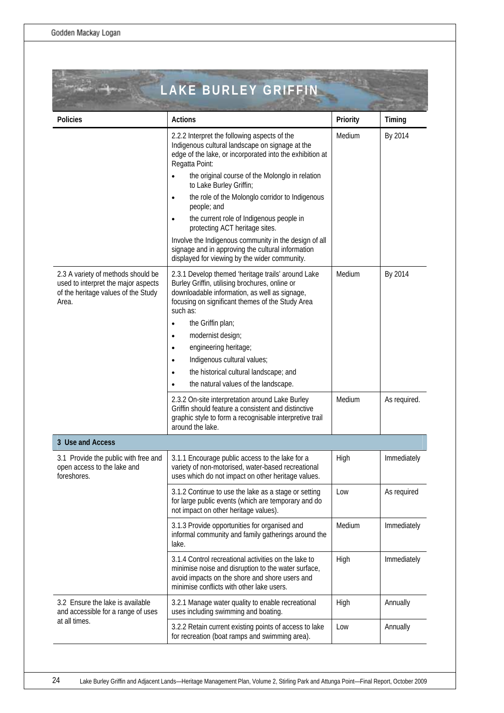| Policies                                                                                                                  | <b>Actions</b>                                                                                                                                                                                                        | Priority | Timing       |
|---------------------------------------------------------------------------------------------------------------------------|-----------------------------------------------------------------------------------------------------------------------------------------------------------------------------------------------------------------------|----------|--------------|
|                                                                                                                           | 2.2.2 Interpret the following aspects of the<br>Indigenous cultural landscape on signage at the<br>edge of the lake, or incorporated into the exhibition at<br>Regatta Point:                                         | Medium   | By 2014      |
|                                                                                                                           | the original course of the Molonglo in relation<br>$\bullet$<br>to Lake Burley Griffin;                                                                                                                               |          |              |
|                                                                                                                           | the role of the Molonglo corridor to Indigenous<br>$\bullet$<br>people; and                                                                                                                                           |          |              |
|                                                                                                                           | the current role of Indigenous people in<br>$\bullet$<br>protecting ACT heritage sites.                                                                                                                               |          |              |
|                                                                                                                           | Involve the Indigenous community in the design of all<br>signage and in approving the cultural information<br>displayed for viewing by the wider community.                                                           |          |              |
| 2.3 A variety of methods should be<br>used to interpret the major aspects<br>of the heritage values of the Study<br>Area. | 2.3.1 Develop themed 'heritage trails' around Lake<br>Burley Griffin, utilising brochures, online or<br>downloadable information, as well as signage,<br>focusing on significant themes of the Study Area<br>such as: | Medium   | By 2014      |
|                                                                                                                           | the Griffin plan;<br>$\bullet$                                                                                                                                                                                        |          |              |
|                                                                                                                           | modernist design;<br>$\bullet$                                                                                                                                                                                        |          |              |
|                                                                                                                           | engineering heritage;<br>$\bullet$                                                                                                                                                                                    |          |              |
|                                                                                                                           | Indigenous cultural values;<br>$\bullet$                                                                                                                                                                              |          |              |
|                                                                                                                           | the historical cultural landscape; and<br>$\bullet$                                                                                                                                                                   |          |              |
|                                                                                                                           | the natural values of the landscape.<br>$\bullet$                                                                                                                                                                     |          |              |
|                                                                                                                           | 2.3.2 On-site interpretation around Lake Burley<br>Griffin should feature a consistent and distinctive<br>graphic style to form a recognisable interpretive trail<br>around the lake.                                 | Medium   | As required. |
| 3 Use and Access                                                                                                          |                                                                                                                                                                                                                       |          |              |
| 3.1 Provide the public with free and<br>open access to the lake and<br>foreshores.                                        | 3.1.1 Encourage public access to the lake for a<br>variety of non-motorised, water-based recreational<br>uses which do not impact on other heritage values.                                                           | High     | Immediately  |
|                                                                                                                           | 3.1.2 Continue to use the lake as a stage or setting<br>for large public events (which are temporary and do<br>not impact on other heritage values).                                                                  | Low      | As required  |
|                                                                                                                           | 3.1.3 Provide opportunities for organised and<br>informal community and family gatherings around the<br>lake.                                                                                                         | Medium   | Immediately  |
|                                                                                                                           | 3.1.4 Control recreational activities on the lake to<br>minimise noise and disruption to the water surface,<br>avoid impacts on the shore and shore users and<br>minimise conflicts with other lake users.            | High     | Immediately  |
| 3.2 Ensure the lake is available<br>and accessible for a range of uses                                                    | 3.2.1 Manage water quality to enable recreational<br>uses including swimming and boating.                                                                                                                             | High     | Annually     |
| at all times.                                                                                                             | 3.2.2 Retain current existing points of access to lake<br>for recreation (boat ramps and swimming area).                                                                                                              | Low      | Annually     |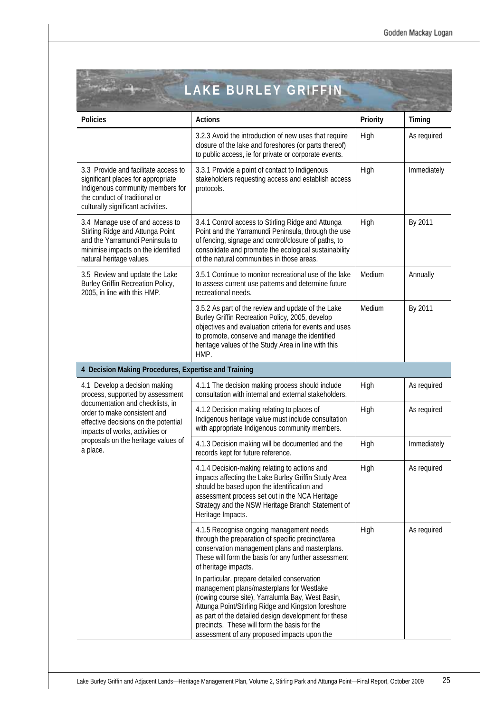| <b>Policies</b>                                                                                                                                                                       | <b>Actions</b>                                                                                                                                                                                                                                                                                                | Priority | Timing      |
|---------------------------------------------------------------------------------------------------------------------------------------------------------------------------------------|---------------------------------------------------------------------------------------------------------------------------------------------------------------------------------------------------------------------------------------------------------------------------------------------------------------|----------|-------------|
|                                                                                                                                                                                       | 3.2.3 Avoid the introduction of new uses that require<br>closure of the lake and foreshores (or parts thereof)<br>to public access, ie for private or corporate events.                                                                                                                                       | High     | As required |
| 3.3 Provide and facilitate access to<br>significant places for appropriate<br>Indigenous community members for<br>the conduct of traditional or<br>culturally significant activities. | 3.3.1 Provide a point of contact to Indigenous<br>stakeholders requesting access and establish access<br>protocols.                                                                                                                                                                                           | High     | Immediately |
| 3.4 Manage use of and access to<br>Stirling Ridge and Attunga Point<br>and the Yarramundi Peninsula to<br>minimise impacts on the identified<br>natural heritage values.              | 3.4.1 Control access to Stirling Ridge and Attunga<br>Point and the Yarramundi Peninsula, through the use<br>of fencing, signage and control/closure of paths, to<br>consolidate and promote the ecological sustainability<br>of the natural communities in those areas.                                      | High     | By 2011     |
| 3.5 Review and update the Lake<br><b>Burley Griffin Recreation Policy,</b><br>2005, in line with this HMP.                                                                            | 3.5.1 Continue to monitor recreational use of the lake<br>to assess current use patterns and determine future<br>recreational needs.                                                                                                                                                                          | Medium   | Annually    |
|                                                                                                                                                                                       | 3.5.2 As part of the review and update of the Lake<br>Burley Griffin Recreation Policy, 2005, develop<br>objectives and evaluation criteria for events and uses<br>to promote, conserve and manage the identified<br>heritage values of the Study Area in line with this<br>HMP.                              | Medium   | By 2011     |
| 4 Decision Making Procedures, Expertise and Training                                                                                                                                  |                                                                                                                                                                                                                                                                                                               |          |             |
| 4.1 Develop a decision making<br>process, supported by assessment<br>documentation and checklists, in                                                                                 | 4.1.1 The decision making process should include<br>consultation with internal and external stakeholders.                                                                                                                                                                                                     | High     | As required |
| order to make consistent and<br>effective decisions on the potential<br>impacts of works, activities or                                                                               | 4.1.2 Decision making relating to places of<br>Indigenous heritage value must include consultation<br>with appropriate Indigenous community members.                                                                                                                                                          | High     | As required |
| proposals on the heritage values of<br>a piace.                                                                                                                                       | 4.1.3 Decision making will be documented and the<br>records kept for future reference.                                                                                                                                                                                                                        | High     | Immediately |
|                                                                                                                                                                                       | 4.1.4 Decision-making relating to actions and<br>impacts affecting the Lake Burley Griffin Study Area<br>should be based upon the identification and<br>assessment process set out in the NCA Heritage<br>Strategy and the NSW Heritage Branch Statement of<br>Heritage Impacts.                              | High     | As required |
|                                                                                                                                                                                       | 4.1.5 Recognise ongoing management needs<br>through the preparation of specific precinct/area<br>conservation management plans and masterplans.<br>These will form the basis for any further assessment<br>of heritage impacts.                                                                               | High     | As required |
|                                                                                                                                                                                       | In particular, prepare detailed conservation<br>management plans/masterplans for Westlake<br>(rowing course site), Yarralumla Bay, West Basin,<br>Attunga Point/Stirling Ridge and Kingston foreshore<br>as part of the detailed design development for these<br>precincts. These will form the basis for the |          |             |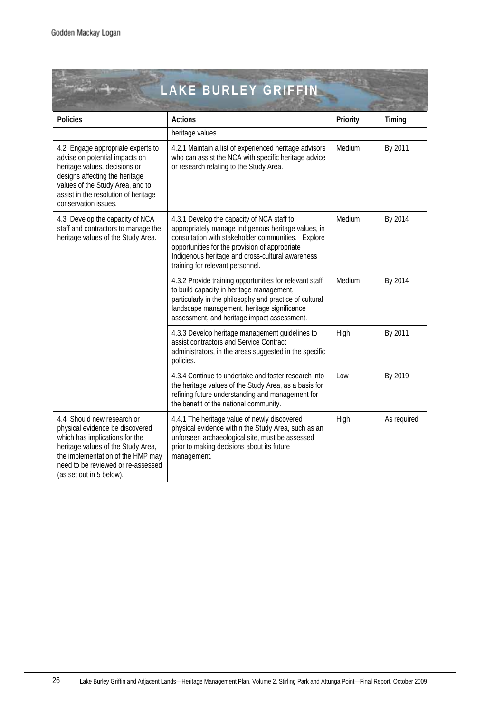| LAKE BURLEY GRIFFIN                                                                                                                                                                                                                          |                                                                                                                                                                                                                                                                                                   |          |             |
|----------------------------------------------------------------------------------------------------------------------------------------------------------------------------------------------------------------------------------------------|---------------------------------------------------------------------------------------------------------------------------------------------------------------------------------------------------------------------------------------------------------------------------------------------------|----------|-------------|
| <b>Policies</b>                                                                                                                                                                                                                              | <b>Actions</b>                                                                                                                                                                                                                                                                                    | Priority | Timing      |
|                                                                                                                                                                                                                                              | heritage values.                                                                                                                                                                                                                                                                                  |          |             |
| 4.2 Engage appropriate experts to<br>advise on potential impacts on<br>heritage values, decisions or<br>designs affecting the heritage<br>values of the Study Area, and to<br>assist in the resolution of heritage<br>conservation issues.   | 4.2.1 Maintain a list of experienced heritage advisors<br>who can assist the NCA with specific heritage advice<br>or research relating to the Study Area.                                                                                                                                         | Medium   | By 2011     |
| 4.3 Develop the capacity of NCA<br>staff and contractors to manage the<br>heritage values of the Study Area.                                                                                                                                 | 4.3.1 Develop the capacity of NCA staff to<br>appropriately manage Indigenous heritage values, in<br>consultation with stakeholder communities. Explore<br>opportunities for the provision of appropriate<br>Indigenous heritage and cross-cultural awareness<br>training for relevant personnel. | Medium   | By 2014     |
|                                                                                                                                                                                                                                              | 4.3.2 Provide training opportunities for relevant staff<br>to build capacity in heritage management,<br>particularly in the philosophy and practice of cultural<br>landscape management, heritage significance<br>assessment, and heritage impact assessment.                                     | Medium   | By 2014     |
|                                                                                                                                                                                                                                              | 4.3.3 Develop heritage management guidelines to<br>assist contractors and Service Contract<br>administrators, in the areas suggested in the specific<br>policies.                                                                                                                                 | High     | By 2011     |
|                                                                                                                                                                                                                                              | 4.3.4 Continue to undertake and foster research into<br>the heritage values of the Study Area, as a basis for<br>refining future understanding and management for<br>the benefit of the national community.                                                                                       | Low      | By 2019     |
| 4.4 Should new research or<br>physical evidence be discovered<br>which has implications for the<br>heritage values of the Study Area,<br>the implementation of the HMP may<br>need to be reviewed or re-assessed<br>(as set out in 5 below). | 4.4.1 The heritage value of newly discovered<br>physical evidence within the Study Area, such as an<br>unforseen archaeological site, must be assessed<br>prior to making decisions about its future<br>management.                                                                               | High     | As required |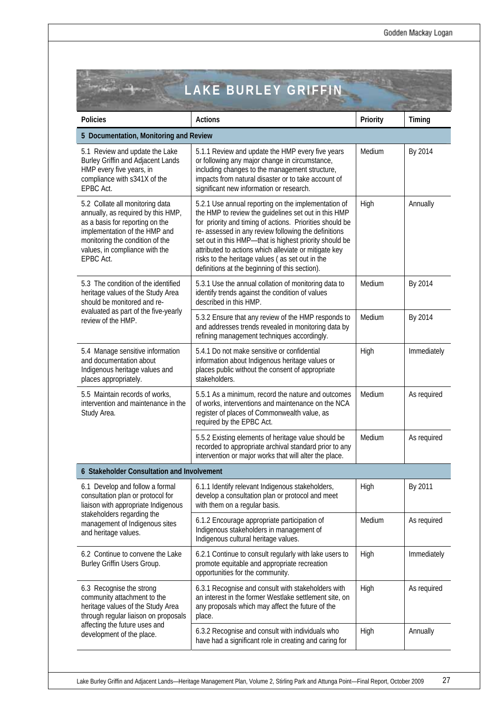| <b>Policies</b>                                                                                                                                                                                                             | <b>Actions</b>                                                                                                                                                                                                                                                                                                                                                                                                                                          | Priority | Timing      |
|-----------------------------------------------------------------------------------------------------------------------------------------------------------------------------------------------------------------------------|---------------------------------------------------------------------------------------------------------------------------------------------------------------------------------------------------------------------------------------------------------------------------------------------------------------------------------------------------------------------------------------------------------------------------------------------------------|----------|-------------|
| 5 Documentation, Monitoring and Review                                                                                                                                                                                      |                                                                                                                                                                                                                                                                                                                                                                                                                                                         |          |             |
| 5.1 Review and update the Lake<br><b>Burley Griffin and Adjacent Lands</b><br>HMP every five years, in<br>compliance with s341X of the<br>EPBC Act.                                                                         | 5.1.1 Review and update the HMP every five years<br>or following any major change in circumstance,<br>including changes to the management structure,<br>impacts from natural disaster or to take account of<br>significant new information or research.                                                                                                                                                                                                 | Medium   | By 2014     |
| 5.2 Collate all monitoring data<br>annually, as required by this HMP,<br>as a basis for reporting on the<br>implementation of the HMP and<br>monitoring the condition of the<br>values, in compliance with the<br>EPBC Act. | 5.2.1 Use annual reporting on the implementation of<br>the HMP to review the guidelines set out in this HMP<br>for priority and timing of actions. Priorities should be<br>re- assessed in any review following the definitions<br>set out in this HMP-that is highest priority should be<br>attributed to actions which alleviate or mitigate key<br>risks to the heritage values (as set out in the<br>definitions at the beginning of this section). | High     | Annually    |
| 5.3 The condition of the identified<br>heritage values of the Study Area<br>should be monitored and re-                                                                                                                     | 5.3.1 Use the annual collation of monitoring data to<br>identify trends against the condition of values<br>described in this HMP.                                                                                                                                                                                                                                                                                                                       | Medium   | By 2014     |
| evaluated as part of the five-yearly<br>review of the HMP.                                                                                                                                                                  | 5.3.2 Ensure that any review of the HMP responds to<br>and addresses trends revealed in monitoring data by<br>refining management techniques accordingly.                                                                                                                                                                                                                                                                                               | Medium   | By 2014     |
| 5.4 Manage sensitive information<br>and documentation about<br>Indigenous heritage values and<br>places appropriately.                                                                                                      | 5.4.1 Do not make sensitive or confidential<br>information about Indigenous heritage values or<br>places public without the consent of appropriate<br>stakeholders.                                                                                                                                                                                                                                                                                     | High     | Immediately |
| 5.5 Maintain records of works,<br>intervention and maintenance in the<br>Study Area.                                                                                                                                        | 5.5.1 As a minimum, record the nature and outcomes<br>of works, interventions and maintenance on the NCA<br>register of places of Commonwealth value, as<br>required by the EPBC Act.                                                                                                                                                                                                                                                                   | Medium   | As required |
|                                                                                                                                                                                                                             | 5.5.2 Existing elements of heritage value should be<br>recorded to appropriate archival standard prior to any<br>intervention or major works that will alter the place.                                                                                                                                                                                                                                                                                 | Medium   | As required |
| 6 Stakeholder Consultation and Involvement                                                                                                                                                                                  |                                                                                                                                                                                                                                                                                                                                                                                                                                                         |          |             |
| 6.1 Develop and follow a formal<br>consultation plan or protocol for<br>liaison with appropriate Indigenous                                                                                                                 | 6.1.1 Identify relevant Indigenous stakeholders,<br>develop a consultation plan or protocol and meet<br>with them on a regular basis.                                                                                                                                                                                                                                                                                                                   | High     | By 2011     |
| stakeholders regarding the<br>management of Indigenous sites<br>and heritage values.                                                                                                                                        | 6.1.2 Encourage appropriate participation of<br>Indigenous stakeholders in management of<br>Indigenous cultural heritage values.                                                                                                                                                                                                                                                                                                                        | Medium   | As required |
| 6.2 Continue to convene the Lake<br>Burley Griffin Users Group.                                                                                                                                                             | 6.2.1 Continue to consult regularly with lake users to<br>promote equitable and appropriate recreation<br>opportunities for the community.                                                                                                                                                                                                                                                                                                              | High     | Immediately |
| 6.3 Recognise the strong<br>community attachment to the<br>heritage values of the Study Area<br>through regular liaison on proposals<br>affecting the future uses and<br>development of the place.                          | 6.3.1 Recognise and consult with stakeholders with<br>an interest in the former Westlake settlement site, on<br>any proposals which may affect the future of the<br>place.                                                                                                                                                                                                                                                                              | High     | As required |
|                                                                                                                                                                                                                             | 6.3.2 Recognise and consult with individuals who<br>have had a significant role in creating and caring for                                                                                                                                                                                                                                                                                                                                              | High     | Annually    |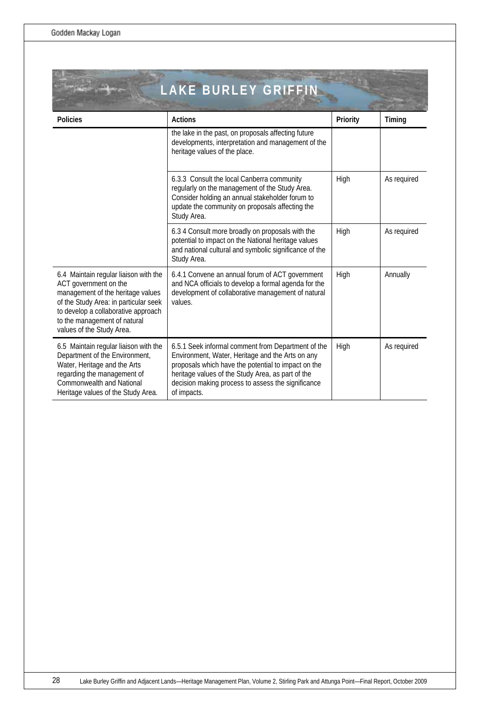|                                                                                                                                                                                                                                                  | LAKE BURLEY GRIFFIN                                                                                                                                                                                                                                                                     |          |             |
|--------------------------------------------------------------------------------------------------------------------------------------------------------------------------------------------------------------------------------------------------|-----------------------------------------------------------------------------------------------------------------------------------------------------------------------------------------------------------------------------------------------------------------------------------------|----------|-------------|
| <b>Policies</b>                                                                                                                                                                                                                                  | <b>Actions</b>                                                                                                                                                                                                                                                                          | Priority | Timing      |
|                                                                                                                                                                                                                                                  | the lake in the past, on proposals affecting future<br>developments, interpretation and management of the<br>heritage values of the place.                                                                                                                                              |          |             |
|                                                                                                                                                                                                                                                  | 6.3.3 Consult the local Canberra community<br>regularly on the management of the Study Area.<br>Consider holding an annual stakeholder forum to<br>update the community on proposals affecting the<br>Study Area.                                                                       | High     | As required |
|                                                                                                                                                                                                                                                  | 6.3 4 Consult more broadly on proposals with the<br>potential to impact on the National heritage values<br>and national cultural and symbolic significance of the<br>Study Area.                                                                                                        | High     | As required |
| 6.4 Maintain regular liaison with the<br>ACT government on the<br>management of the heritage values<br>of the Study Area: in particular seek<br>to develop a collaborative approach<br>to the management of natural<br>values of the Study Area. | 6.4.1 Convene an annual forum of ACT government<br>and NCA officials to develop a formal agenda for the<br>development of collaborative management of natural<br>values.                                                                                                                | High     | Annually    |
| 6.5 Maintain regular liaison with the<br>Department of the Environment,<br>Water, Heritage and the Arts<br>regarding the management of<br>Commonwealth and National<br>Heritage values of the Study Area.                                        | 6.5.1 Seek informal comment from Department of the<br>Environment, Water, Heritage and the Arts on any<br>proposals which have the potential to impact on the<br>heritage values of the Study Area, as part of the<br>decision making process to assess the significance<br>of impacts. | High     | As required |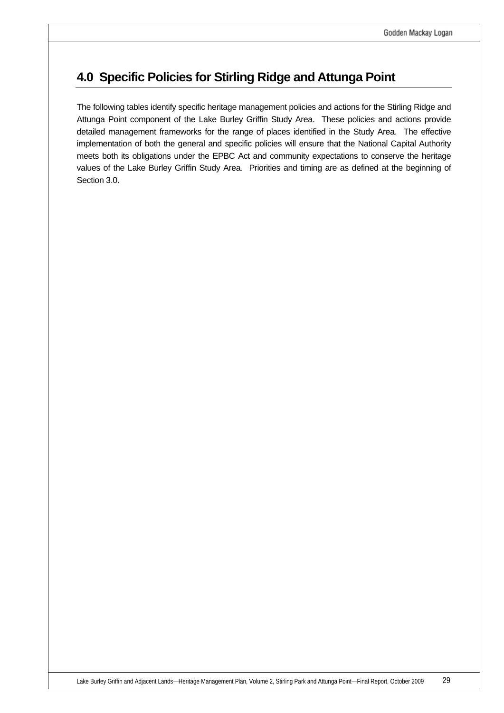# **4.0 Specific Policies for Stirling Ridge and Attunga Point**

The following tables identify specific heritage management policies and actions for the Stirling Ridge and Attunga Point component of the Lake Burley Griffin Study Area. These policies and actions provide detailed management frameworks for the range of places identified in the Study Area. The effective implementation of both the general and specific policies will ensure that the National Capital Authority meets both its obligations under the EPBC Act and community expectations to conserve the heritage values of the Lake Burley Griffin Study Area. Priorities and timing are as defined at the beginning of Section 3.0.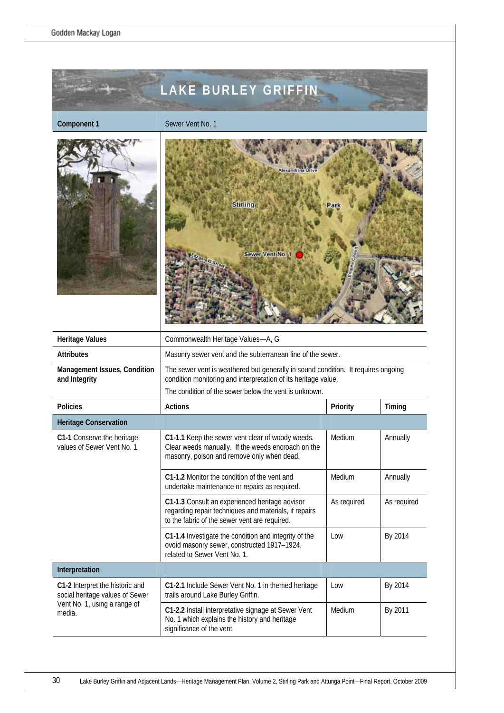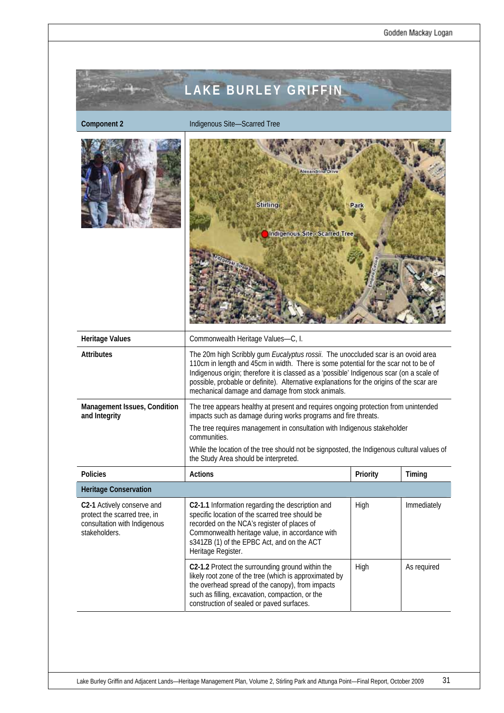| <b>Component 2</b>                                                                                          | Indigenous Site-Scarred Tree                                                                                                                                                                                                                                                                                                                                                                                            |          |             |
|-------------------------------------------------------------------------------------------------------------|-------------------------------------------------------------------------------------------------------------------------------------------------------------------------------------------------------------------------------------------------------------------------------------------------------------------------------------------------------------------------------------------------------------------------|----------|-------------|
|                                                                                                             | <b>Stirling</b><br>Indigenous Site - Scarred Tree                                                                                                                                                                                                                                                                                                                                                                       |          |             |
| <b>Heritage Values</b>                                                                                      | Commonwealth Heritage Values-C, I.                                                                                                                                                                                                                                                                                                                                                                                      |          |             |
| <b>Attributes</b>                                                                                           | The 20m high Scribbly gum Eucalyptus rossii. The unoccluded scar is an ovoid area<br>110cm in length and 45cm in width. There is some potential for the scar not to be of<br>Indigenous origin; therefore it is classed as a 'possible' Indigenous scar (on a scale of<br>possible, probable or definite). Alternative explanations for the origins of the scar are<br>mechanical damage and damage from stock animals. |          |             |
| Management Issues, Condition<br>and Integrity                                                               | The tree appears healthy at present and requires ongoing protection from unintended<br>impacts such as damage during works programs and fire threats.                                                                                                                                                                                                                                                                   |          |             |
|                                                                                                             | The tree requires management in consultation with Indigenous stakeholder<br>communities.                                                                                                                                                                                                                                                                                                                                |          |             |
|                                                                                                             | While the location of the tree should not be signposted, the Indigenous cultural values of<br>the Study Area should be interpreted.                                                                                                                                                                                                                                                                                     |          |             |
| Policies                                                                                                    | Actions                                                                                                                                                                                                                                                                                                                                                                                                                 | Priority | Timing      |
| <b>Heritage Conservation</b>                                                                                |                                                                                                                                                                                                                                                                                                                                                                                                                         |          |             |
| C2-1 Actively conserve and<br>protect the scarred tree, in<br>consultation with Indigenous<br>stakeholders. | C2-1.1 Information regarding the description and<br>specific location of the scarred tree should be<br>recorded on the NCA's register of places of<br>Commonwealth heritage value, in accordance with<br>s341ZB (1) of the EPBC Act, and on the ACT<br>Heritage Register.                                                                                                                                               | High     | Immediately |
|                                                                                                             | C2-1.2 Protect the surrounding ground within the<br>likely root zone of the tree (which is approximated by<br>the overhead spread of the canopy), from impacts<br>such as filling, excavation, compaction, or the                                                                                                                                                                                                       | High     | As required |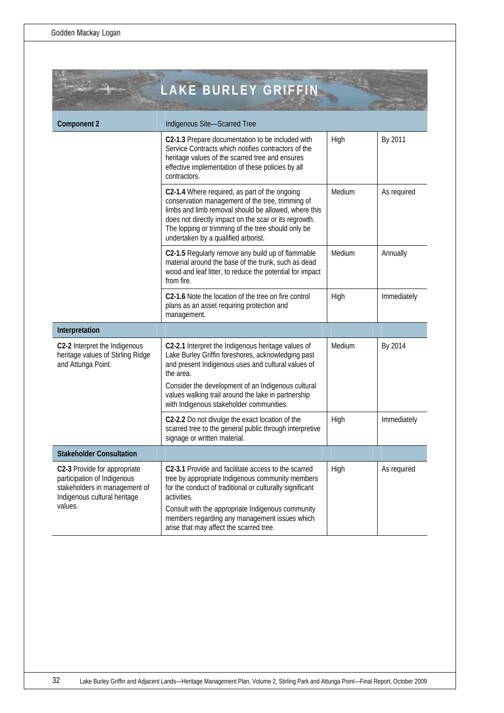|                                                                                                                                         | LAKE BURLEY GRIFFIN                                                                                                                                                                                                                                                                                                                  |        |             |
|-----------------------------------------------------------------------------------------------------------------------------------------|--------------------------------------------------------------------------------------------------------------------------------------------------------------------------------------------------------------------------------------------------------------------------------------------------------------------------------------|--------|-------------|
| <b>Component 2</b>                                                                                                                      | Indigenous Site-Scarred Tree                                                                                                                                                                                                                                                                                                         |        |             |
|                                                                                                                                         | C2-1.3 Prepare documentation to be included with<br>Service Contracts which notifies contractors of the<br>heritage values of the scarred tree and ensures<br>effective implementation of these policies by all<br>contractors.                                                                                                      | High   | By 2011     |
|                                                                                                                                         | C2-1.4 Where required, as part of the ongoing<br>conservation management of the tree, trimming of<br>limbs and limb removal should be allowed, where this<br>does not directly impact on the scar or its regrowth.<br>The lopping or trimming of the tree should only be<br>undertaken by a qualified arborist.                      | Medium | As required |
|                                                                                                                                         | C2-1.5 Regularly remove any build up of flammable<br>material around the base of the trunk, such as dead<br>wood and leaf litter, to reduce the potential for impact<br>from fire.                                                                                                                                                   | Medium | Annually    |
|                                                                                                                                         | C2-1.6 Note the location of the tree on fire control<br>plans as an asset requiring protection and<br>management.                                                                                                                                                                                                                    | High   | Immediately |
| Interpretation                                                                                                                          |                                                                                                                                                                                                                                                                                                                                      |        |             |
| C2-2 Interpret the Indigenous<br>heritage values of Stirling Ridge<br>and Attunga Point.                                                | C2-2.1 Interpret the Indigenous heritage values of<br>Lake Burley Griffin foreshores, acknowledging past<br>and present Indigenous uses and cultural values of<br>the area.<br>Consider the development of an Indigenous cultural<br>values walking trail around the lake in partnership<br>with Indigenous stakeholder communities. | Medium | By 2014     |
|                                                                                                                                         | C2-2.2 Do not divulge the exact location of the<br>scarred tree to the general public through interpretive<br>signage or written material.                                                                                                                                                                                           | High   | Immediately |
| <b>Stakeholder Consultation</b>                                                                                                         |                                                                                                                                                                                                                                                                                                                                      |        |             |
| C2-3 Provide for appropriate<br>participation of Indigenous<br>stakeholders in management of<br>Indigenous cultural heritage<br>values. | C2-3.1 Provide and facilitate access to the scarred<br>tree by appropriate Indigenous community members<br>for the conduct of traditional or culturally significant<br>activities.<br>Consult with the appropriate Indigenous community                                                                                              | High   | As required |
|                                                                                                                                         | members regarding any management issues which<br>arise that may affect the scarred tree.                                                                                                                                                                                                                                             |        |             |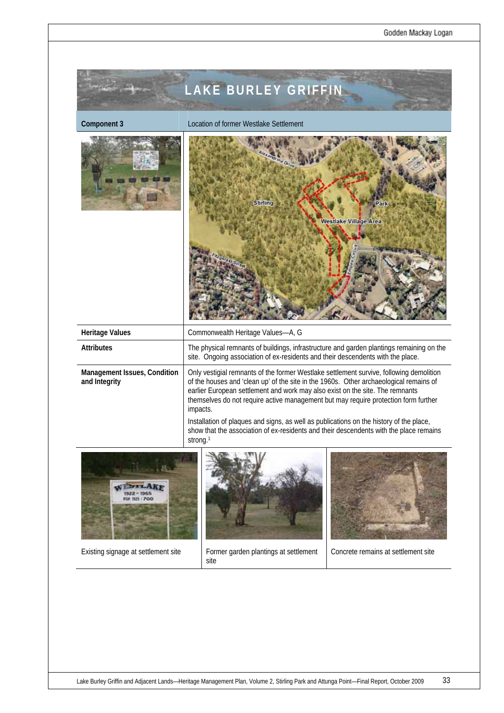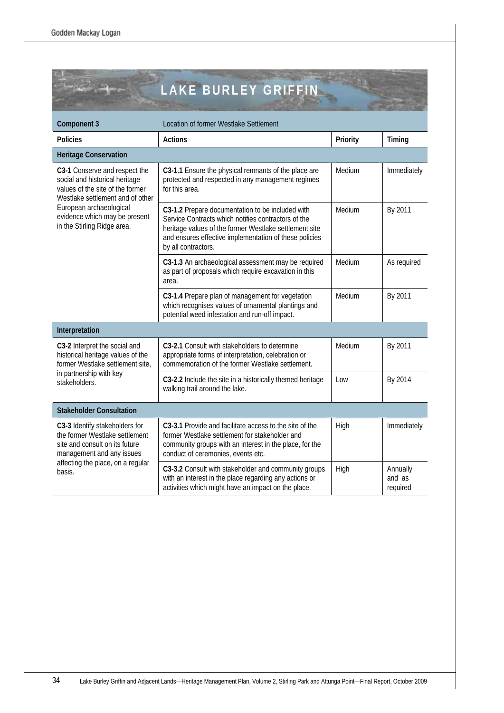| Component 3                                                                                                                                                                                                                        | Location of former Westlake Settlement                                                                                                                                                                                                             |          |                                |
|------------------------------------------------------------------------------------------------------------------------------------------------------------------------------------------------------------------------------------|----------------------------------------------------------------------------------------------------------------------------------------------------------------------------------------------------------------------------------------------------|----------|--------------------------------|
| <b>Policies</b>                                                                                                                                                                                                                    | <b>Actions</b>                                                                                                                                                                                                                                     | Priority | Timing                         |
| <b>Heritage Conservation</b>                                                                                                                                                                                                       |                                                                                                                                                                                                                                                    |          |                                |
| C3-1 Conserve and respect the<br>social and historical heritage<br>values of the site of the former<br>Westlake settlement and of other<br>European archaeological<br>evidence which may be present<br>in the Stirling Ridge area. | C3-1.1 Ensure the physical remnants of the place are<br>protected and respected in any management regimes<br>for this area.                                                                                                                        | Medium   | Immediately                    |
|                                                                                                                                                                                                                                    | C3-1.2 Prepare documentation to be included with<br>Service Contracts which notifies contractors of the<br>heritage values of the former Westlake settlement site<br>and ensures effective implementation of these policies<br>by all contractors. | Medium   | By 2011                        |
|                                                                                                                                                                                                                                    | C3-1.3 An archaeological assessment may be required<br>as part of proposals which require excavation in this<br>area.                                                                                                                              | Medium   | As required                    |
|                                                                                                                                                                                                                                    | C3-1.4 Prepare plan of management for vegetation<br>which recognises values of ornamental plantings and<br>potential weed infestation and run-off impact.                                                                                          | Medium   | By 2011                        |
| Interpretation                                                                                                                                                                                                                     |                                                                                                                                                                                                                                                    |          |                                |
| C3-2 Interpret the social and<br>historical heritage values of the<br>former Westlake settlement site.                                                                                                                             | C3-2.1 Consult with stakeholders to determine<br>appropriate forms of interpretation, celebration or<br>commemoration of the former Westlake settlement.                                                                                           | Medium   | By 2011                        |
| in partnership with key<br>stakeholders.                                                                                                                                                                                           | C3-2.2 Include the site in a historically themed heritage<br>walking trail around the lake.                                                                                                                                                        | Low      | By 2014                        |
| <b>Stakeholder Consultation</b>                                                                                                                                                                                                    |                                                                                                                                                                                                                                                    |          |                                |
| C3-3 Identify stakeholders for<br>the former Westlake settlement<br>site and consult on its future<br>management and any issues                                                                                                    | C3-3.1 Provide and facilitate access to the site of the<br>former Westlake settlement for stakeholder and<br>community groups with an interest in the place, for the<br>conduct of ceremonies, events etc.                                         | High     | Immediately                    |
| affecting the place, on a regular<br>basis.                                                                                                                                                                                        | C3-3.2 Consult with stakeholder and community groups<br>with an interest in the place regarding any actions or<br>activities which might have an impact on the place.                                                                              | High     | Annually<br>and as<br>required |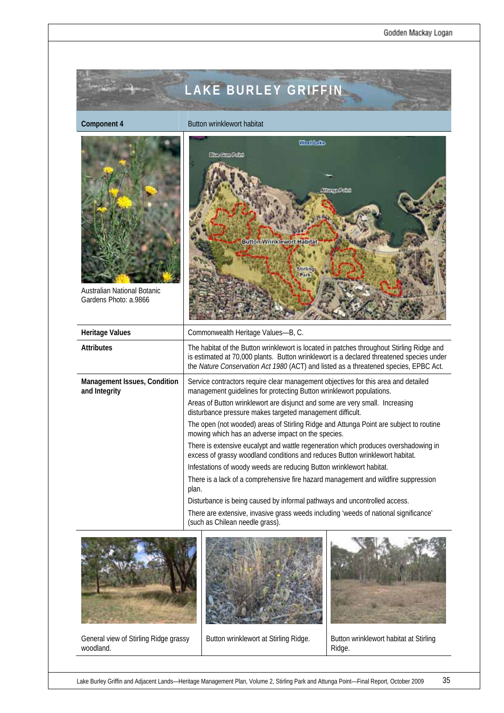| <b>Component 4</b>                                   | <b>Button wrinklewort habitat</b>                                                                                                                                                                                                                                             |  |
|------------------------------------------------------|-------------------------------------------------------------------------------------------------------------------------------------------------------------------------------------------------------------------------------------------------------------------------------|--|
| Australian National Botanic<br>Gardens Photo: a.9866 | Weitlake<br>Blitto Gum Point<br>Minera Refnt<br><b>Button Wrinklewort Habitat</b>                                                                                                                                                                                             |  |
| <b>Heritage Values</b>                               | Commonwealth Heritage Values-B, C.                                                                                                                                                                                                                                            |  |
| <b>Attributes</b>                                    | The habitat of the Button wrinklewort is located in patches throughout Stirling Ridge and<br>is estimated at 70,000 plants. Button wrinklewort is a declared threatened species under<br>the Nature Conservation Act 1980 (ACT) and listed as a threatened species, EPBC Act. |  |
| Management Issues, Condition<br>and Integrity        | Service contractors require clear management objectives for this area and detailed<br>management guidelines for protecting Button wrinklewort populations.                                                                                                                    |  |
|                                                      | Areas of Button wrinklewort are disjunct and some are very small. Increasing<br>disturbance pressure makes targeted management difficult.                                                                                                                                     |  |
|                                                      | The open (not wooded) areas of Stirling Ridge and Attunga Point are subject to routine<br>mowing which has an adverse impact on the species.                                                                                                                                  |  |
|                                                      | There is extensive eucalypt and wattle regeneration which produces overshadowing in<br>excess of grassy woodland conditions and reduces Button wrinklewort habitat.                                                                                                           |  |
|                                                      | Infestations of woody weeds are reducing Button wrinklewort habitat.                                                                                                                                                                                                          |  |
|                                                      | There is a lack of a comprehensive fire hazard management and wildfire suppression<br>plan.                                                                                                                                                                                   |  |
|                                                      | Disturbance is being caused by informal pathways and uncontrolled access.                                                                                                                                                                                                     |  |
|                                                      | There are extensive, invasive grass weeds including 'weeds of national significance'<br>(such as Chilean needle grass).                                                                                                                                                       |  |
|                                                      |                                                                                                                                                                                                                                                                               |  |
| General view of Stirling Ridge grassy                | Button wrinklewort at Stirling Ridge.<br>Button wrinklewort habitat at Stirling                                                                                                                                                                                               |  |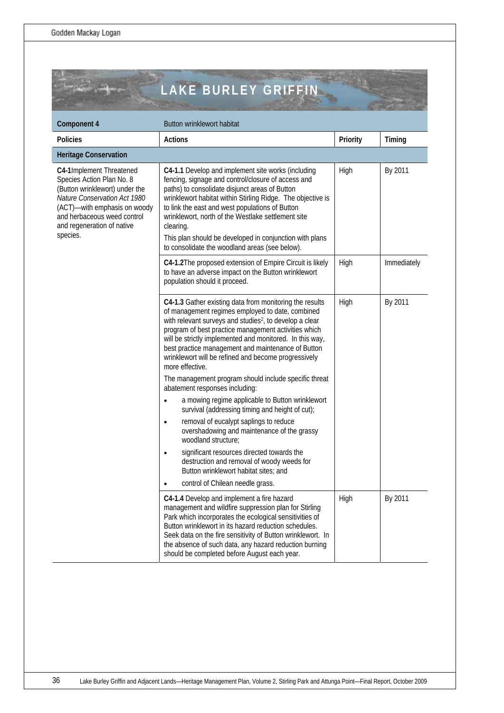| Component 4                                                                                                                                                                                                                      | <b>Button wrinklewort habitat</b>                                                                                                                                                                                                                                                                                                                                                                                                                            |          |             |
|----------------------------------------------------------------------------------------------------------------------------------------------------------------------------------------------------------------------------------|--------------------------------------------------------------------------------------------------------------------------------------------------------------------------------------------------------------------------------------------------------------------------------------------------------------------------------------------------------------------------------------------------------------------------------------------------------------|----------|-------------|
| <b>Policies</b>                                                                                                                                                                                                                  | <b>Actions</b>                                                                                                                                                                                                                                                                                                                                                                                                                                               | Priority | Timing      |
| <b>Heritage Conservation</b>                                                                                                                                                                                                     |                                                                                                                                                                                                                                                                                                                                                                                                                                                              |          |             |
| C4-1Implement Threatened<br>Species Action Plan No. 8<br>(Button wrinklewort) under the<br>Nature Conservation Act 1980<br>(ACT)-with emphasis on woody<br>and herbaceous weed control<br>and regeneration of native<br>species. | C4-1.1 Develop and implement site works (including<br>fencing, signage and control/closure of access and<br>paths) to consolidate disjunct areas of Button<br>wrinklewort habitat within Stirling Ridge. The objective is<br>to link the east and west populations of Button<br>wrinklewort, north of the Westlake settlement site<br>clearing.<br>This plan should be developed in conjunction with plans<br>to consolidate the woodland areas (see below). | High     | By 2011     |
|                                                                                                                                                                                                                                  | C4-1.2The proposed extension of Empire Circuit is likely<br>to have an adverse impact on the Button wrinklewort<br>population should it proceed.                                                                                                                                                                                                                                                                                                             | High     | Immediately |
|                                                                                                                                                                                                                                  | C4-1.3 Gather existing data from monitoring the results<br>of management regimes employed to date, combined<br>with relevant surveys and studies <sup>2</sup> , to develop a clear<br>program of best practice management activities which<br>will be strictly implemented and monitored. In this way,<br>best practice management and maintenance of Button<br>wrinklewort will be refined and become progressively<br>more effective.                      | High     | By 2011     |
|                                                                                                                                                                                                                                  | The management program should include specific threat<br>abatement responses including:<br>a mowing regime applicable to Button wrinklewort                                                                                                                                                                                                                                                                                                                  |          |             |
|                                                                                                                                                                                                                                  | $\bullet$<br>survival (addressing timing and height of cut);                                                                                                                                                                                                                                                                                                                                                                                                 |          |             |
|                                                                                                                                                                                                                                  | removal of eucalypt saplings to reduce<br>overshadowing and maintenance of the grassy<br>woodland structure:                                                                                                                                                                                                                                                                                                                                                 |          |             |
|                                                                                                                                                                                                                                  | significant resources directed towards the<br>$\bullet$<br>destruction and removal of woody weeds for<br>Button wrinklewort habitat sites; and                                                                                                                                                                                                                                                                                                               |          |             |
|                                                                                                                                                                                                                                  | control of Chilean needle grass.<br>$\bullet$                                                                                                                                                                                                                                                                                                                                                                                                                |          |             |
|                                                                                                                                                                                                                                  | C4-1.4 Develop and implement a fire hazard<br>management and wildfire suppression plan for Stirling<br>Park which incorporates the ecological sensitivities of<br>Button wrinklewort in its hazard reduction schedules.<br>Seek data on the fire sensitivity of Button wrinklewort. In<br>the absence of such data, any hazard reduction burning<br>should be completed before August each year.                                                             | High     | By 2011     |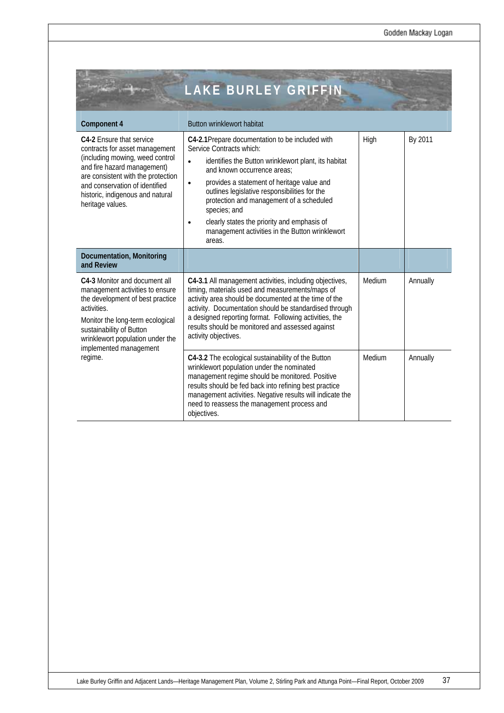|                                                                                                                                                                                                                                                              | <b>LAKE BURLEY GRIFFIN</b>                                                                                                                                                                                                                                                                                                                                                                                                                                                       |        |          |
|--------------------------------------------------------------------------------------------------------------------------------------------------------------------------------------------------------------------------------------------------------------|----------------------------------------------------------------------------------------------------------------------------------------------------------------------------------------------------------------------------------------------------------------------------------------------------------------------------------------------------------------------------------------------------------------------------------------------------------------------------------|--------|----------|
| Component 4                                                                                                                                                                                                                                                  | <b>Button wrinklewort habitat</b>                                                                                                                                                                                                                                                                                                                                                                                                                                                |        |          |
| C4-2 Ensure that service<br>contracts for asset management<br>(including mowing, weed control<br>and fire hazard management)<br>are consistent with the protection<br>and conservation of identified<br>historic, indigenous and natural<br>heritage values. | C4-2.1Prepare documentation to be included with<br>Service Contracts which:<br>identifies the Button wrinklewort plant, its habitat<br>$\bullet$<br>and known occurrence areas;<br>provides a statement of heritage value and<br>$\bullet$<br>outlines legislative responsibilities for the<br>protection and management of a scheduled<br>species; and<br>clearly states the priority and emphasis of<br>$\bullet$<br>management activities in the Button wrinklewort<br>areas. | High   | By 2011  |
| <b>Documentation, Monitoring</b><br>and Review                                                                                                                                                                                                               |                                                                                                                                                                                                                                                                                                                                                                                                                                                                                  |        |          |
| C4-3 Monitor and document all<br>management activities to ensure<br>the development of best practice<br>activities.<br>Monitor the long-term ecological<br>sustainability of Button<br>wrinklewort population under the<br>implemented management            | C4-3.1 All management activities, including objectives,<br>timing, materials used and measurements/maps of<br>activity area should be documented at the time of the<br>activity. Documentation should be standardised through<br>a designed reporting format. Following activities, the<br>results should be monitored and assessed against<br>activity objectives.                                                                                                              | Medium | Annually |
| regime.                                                                                                                                                                                                                                                      | C4-3.2 The ecological sustainability of the Button<br>wrinklewort population under the nominated<br>management regime should be monitored. Positive<br>results should be fed back into refining best practice<br>management activities. Negative results will indicate the<br>need to reassess the management process and<br>objectives.                                                                                                                                         | Medium | Annually |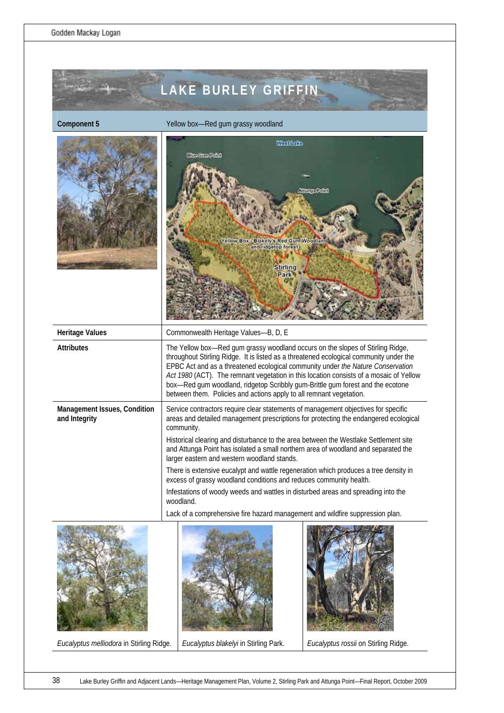

*Eucalyptus melliodora* in Stirling Ridge. *Eucalyptus blakelyi* in Stirling Park. *Eucalyptus rossii* on Stirling Ridge.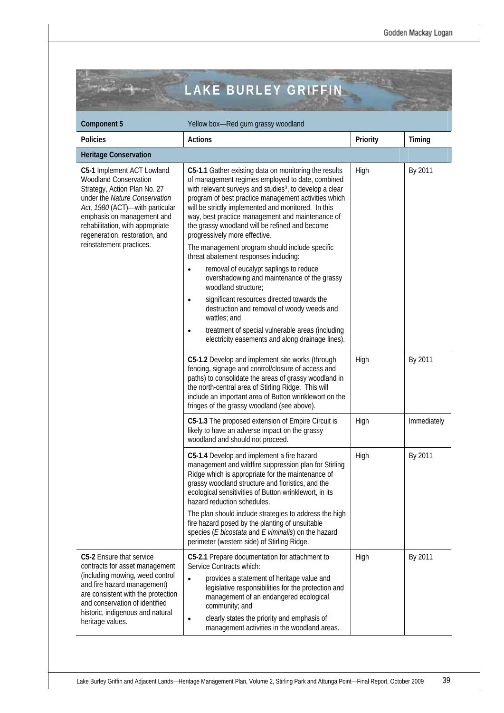| Component 5                                                                                                                                                                                                                                                                                    | Yellow box-Red gum grassy woodland                                                                                                                                                                                                                                                                                                                                                                                                                                                       |          |             |
|------------------------------------------------------------------------------------------------------------------------------------------------------------------------------------------------------------------------------------------------------------------------------------------------|------------------------------------------------------------------------------------------------------------------------------------------------------------------------------------------------------------------------------------------------------------------------------------------------------------------------------------------------------------------------------------------------------------------------------------------------------------------------------------------|----------|-------------|
| <b>Policies</b>                                                                                                                                                                                                                                                                                | <b>Actions</b>                                                                                                                                                                                                                                                                                                                                                                                                                                                                           | Priority | Timing      |
| <b>Heritage Conservation</b>                                                                                                                                                                                                                                                                   |                                                                                                                                                                                                                                                                                                                                                                                                                                                                                          |          |             |
| C5-1 Implement ACT Lowland<br><b>Woodland Conservation</b><br>Strategy, Action Plan No. 27<br>under the Nature Conservation<br>Act, 1980 (ACT)-with particular<br>emphasis on management and<br>rehabilitation, with appropriate<br>regeneration, restoration, and<br>reinstatement practices. | C5-1.1 Gather existing data on monitoring the results<br>of management regimes employed to date, combined<br>with relevant surveys and studies <sup>3</sup> , to develop a clear<br>program of best practice management activities which<br>will be strictly implemented and monitored. In this<br>way, best practice management and maintenance of<br>the grassy woodland will be refined and become<br>progressively more effective.<br>The management program should include specific | High     | By 2011     |
|                                                                                                                                                                                                                                                                                                | threat abatement responses including:                                                                                                                                                                                                                                                                                                                                                                                                                                                    |          |             |
|                                                                                                                                                                                                                                                                                                | removal of eucalypt saplings to reduce<br>$\bullet$<br>overshadowing and maintenance of the grassy<br>woodland structure;                                                                                                                                                                                                                                                                                                                                                                |          |             |
|                                                                                                                                                                                                                                                                                                | significant resources directed towards the<br>$\bullet$<br>destruction and removal of woody weeds and<br>wattles; and                                                                                                                                                                                                                                                                                                                                                                    |          |             |
|                                                                                                                                                                                                                                                                                                | treatment of special vulnerable areas (including<br>$\bullet$<br>electricity easements and along drainage lines).                                                                                                                                                                                                                                                                                                                                                                        |          |             |
|                                                                                                                                                                                                                                                                                                | C5-1.2 Develop and implement site works (through<br>fencing, signage and control/closure of access and<br>paths) to consolidate the areas of grassy woodland in<br>the north-central area of Stirling Ridge. This will<br>include an important area of Button wrinklewort on the<br>fringes of the grassy woodland (see above).                                                                                                                                                          | High     | By 2011     |
|                                                                                                                                                                                                                                                                                                | C5-1.3 The proposed extension of Empire Circuit is<br>likely to have an adverse impact on the grassy<br>woodland and should not proceed.                                                                                                                                                                                                                                                                                                                                                 | High     | Immediately |
|                                                                                                                                                                                                                                                                                                | C5-1.4 Develop and implement a fire hazard<br>management and wildfire suppression plan for Stirling<br>Ridge which is appropriate for the maintenance of<br>grassy woodland structure and floristics, and the<br>ecological sensitivities of Button wrinklewort, in its<br>hazard reduction schedules.                                                                                                                                                                                   | High     | By 2011     |
|                                                                                                                                                                                                                                                                                                | The plan should include strategies to address the high<br>fire hazard posed by the planting of unsuitable<br>species (E bicostata and E viminalis) on the hazard<br>perimeter (western side) of Stirling Ridge.                                                                                                                                                                                                                                                                          |          |             |
| C5-2 Ensure that service<br>contracts for asset management<br>(including mowing, weed control                                                                                                                                                                                                  | C5-2.1 Prepare documentation for attachment to<br>Service Contracts which:<br>provides a statement of heritage value and<br>$\bullet$                                                                                                                                                                                                                                                                                                                                                    | High     | By 2011     |
| and fire hazard management)<br>are consistent with the protection<br>and conservation of identified<br>historic, indigenous and natural<br>heritage values.                                                                                                                                    | legislative responsibilities for the protection and<br>management of an endangered ecological<br>community; and<br>clearly states the priority and emphasis of<br>$\bullet$                                                                                                                                                                                                                                                                                                              |          |             |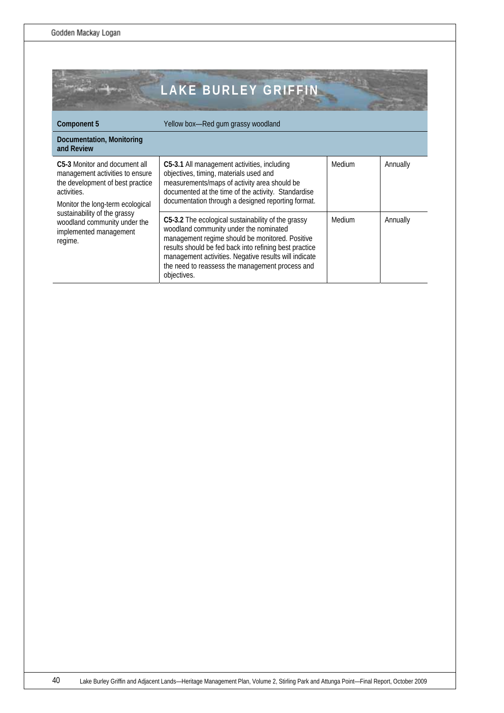|                                                                                                                                                         | LAKE BURLEY GRIFFIN                                                                                                                                                                                                                                                                                                                  |        |          |
|---------------------------------------------------------------------------------------------------------------------------------------------------------|--------------------------------------------------------------------------------------------------------------------------------------------------------------------------------------------------------------------------------------------------------------------------------------------------------------------------------------|--------|----------|
| Component 5                                                                                                                                             | Yellow box-Red gum grassy woodland                                                                                                                                                                                                                                                                                                   |        |          |
| Documentation, Monitoring<br>and Review                                                                                                                 |                                                                                                                                                                                                                                                                                                                                      |        |          |
| C5-3 Monitor and document all<br>management activities to ensure<br>the development of best practice<br>activities.<br>Monitor the long-term ecological | C5-3.1 All management activities, including<br>objectives, timing, materials used and<br>measurements/maps of activity area should be<br>documented at the time of the activity. Standardise<br>documentation through a designed reporting format.                                                                                   | Medium | Annually |
| sustainability of the grassy<br>woodland community under the<br>implemented management<br>regime.                                                       | C5-3.2 The ecological sustainability of the grassy<br>woodland community under the nominated<br>management regime should be monitored. Positive<br>results should be fed back into refining best practice<br>management activities. Negative results will indicate<br>the need to reassess the management process and<br>objectives. | Medium | Annually |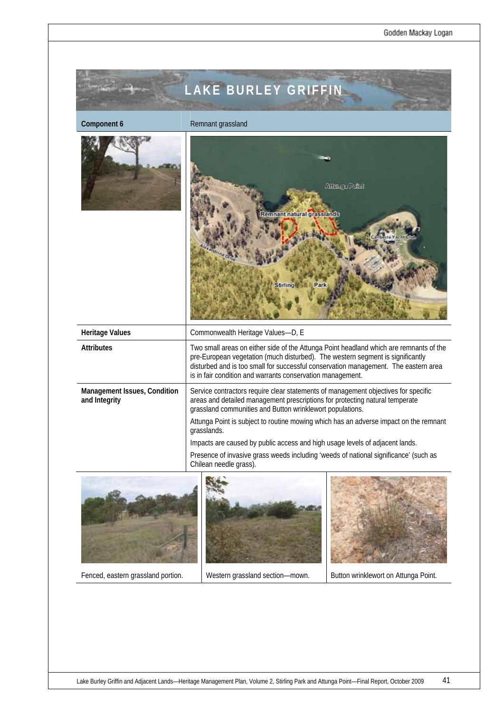| Component 6                                   | Remnant grassland                                                                                                                                                                                                                                                                                                                                                                                                                                                                                                                         |
|-----------------------------------------------|-------------------------------------------------------------------------------------------------------------------------------------------------------------------------------------------------------------------------------------------------------------------------------------------------------------------------------------------------------------------------------------------------------------------------------------------------------------------------------------------------------------------------------------------|
|                                               | Altrico Paint<br><b>Remnant natural grasslands</b><br>Stirling & &                                                                                                                                                                                                                                                                                                                                                                                                                                                                        |
| <b>Heritage Values</b>                        | Commonwealth Heritage Values-D, E                                                                                                                                                                                                                                                                                                                                                                                                                                                                                                         |
| <b>Attributes</b>                             | Two small areas on either side of the Attunga Point headland which are remnants of the<br>pre-European vegetation (much disturbed). The western segment is significantly<br>disturbed and is too small for successful conservation management. The eastern area<br>is in fair condition and warrants conservation management.                                                                                                                                                                                                             |
| Management Issues, Condition<br>and Integrity | Service contractors require clear statements of management objectives for specific<br>areas and detailed management prescriptions for protecting natural temperate<br>grassland communities and Button wrinklewort populations.<br>Attunga Point is subject to routine mowing which has an adverse impact on the remnant<br>grasslands.<br>Impacts are caused by public access and high usage levels of adjacent lands.<br>Presence of invasive grass weeds including 'weeds of national significance' (such as<br>Chilean needle grass). |



Fenced, eastern grassland portion. <br>Western grassland section—mown. Button wrinklewort on Attunga Point.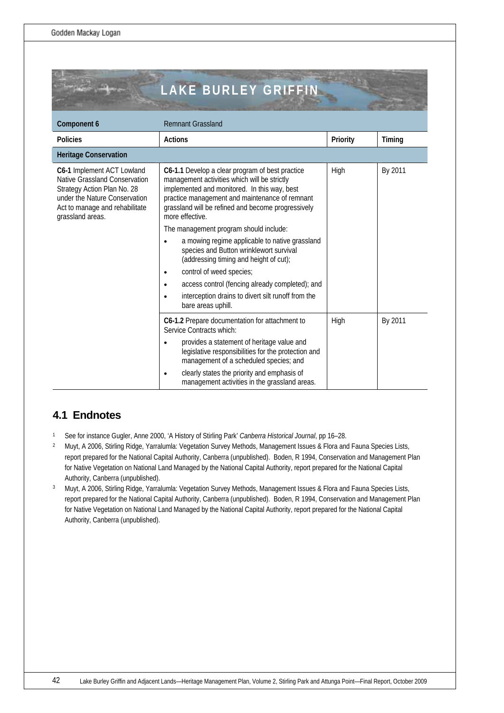| Component 6                                                                                                                                                                       | <b>Remnant Grassland</b>                                                                                                                                                                                                                                                                                                                                                                                                                                                                                                                                                                                                                         |          |         |
|-----------------------------------------------------------------------------------------------------------------------------------------------------------------------------------|--------------------------------------------------------------------------------------------------------------------------------------------------------------------------------------------------------------------------------------------------------------------------------------------------------------------------------------------------------------------------------------------------------------------------------------------------------------------------------------------------------------------------------------------------------------------------------------------------------------------------------------------------|----------|---------|
| <b>Policies</b>                                                                                                                                                                   | <b>Actions</b>                                                                                                                                                                                                                                                                                                                                                                                                                                                                                                                                                                                                                                   | Priority | Timing  |
| <b>Heritage Conservation</b>                                                                                                                                                      |                                                                                                                                                                                                                                                                                                                                                                                                                                                                                                                                                                                                                                                  |          |         |
| C6-1 Implement ACT Lowland<br>Native Grassland Conservation<br>Strategy Action Plan No. 28<br>under the Nature Conservation<br>Act to manage and rehabilitate<br>grassland areas. | C6-1.1 Develop a clear program of best practice<br>management activities which will be strictly<br>implemented and monitored. In this way, best<br>practice management and maintenance of remnant<br>grassland will be refined and become progressively<br>more effective.<br>The management program should include:<br>a mowing regime applicable to native grassland<br>species and Button wrinklewort survival<br>(addressing timing and height of cut);<br>control of weed species;<br>$\bullet$<br>access control (fencing already completed); and<br>interception drains to divert silt runoff from the<br>$\bullet$<br>bare areas uphill. | High     | By 2011 |
|                                                                                                                                                                                   | C6-1.2 Prepare documentation for attachment to<br>Service Contracts which:<br>provides a statement of heritage value and<br>legislative responsibilities for the protection and<br>management of a scheduled species; and<br>clearly states the priority and emphasis of<br>management activities in the grassland areas.                                                                                                                                                                                                                                                                                                                        | High     | By 2011 |

# **4.1 Endnotes**

- 1 See for instance Gugler, Anne 2000, 'A History of Stirling Park' *Canberra Historical Journal*, pp 16–28.
- <sup>2</sup> Muyt, A 2006, Stirling Ridge, Yarralumla: Vegetation Survey Methods, Management Issues & Flora and Fauna Species Lists, report prepared for the National Capital Authority, Canberra (unpublished). Boden, R 1994, Conservation and Management Plan for Native Vegetation on National Land Managed by the National Capital Authority, report prepared for the National Capital Authority, Canberra (unpublished).
- <sup>3</sup> Muyt, A 2006, Stirling Ridge, Yarralumla: Vegetation Survey Methods, Management Issues & Flora and Fauna Species Lists, report prepared for the National Capital Authority, Canberra (unpublished). Boden, R 1994, Conservation and Management Plan for Native Vegetation on National Land Managed by the National Capital Authority, report prepared for the National Capital Authority, Canberra (unpublished).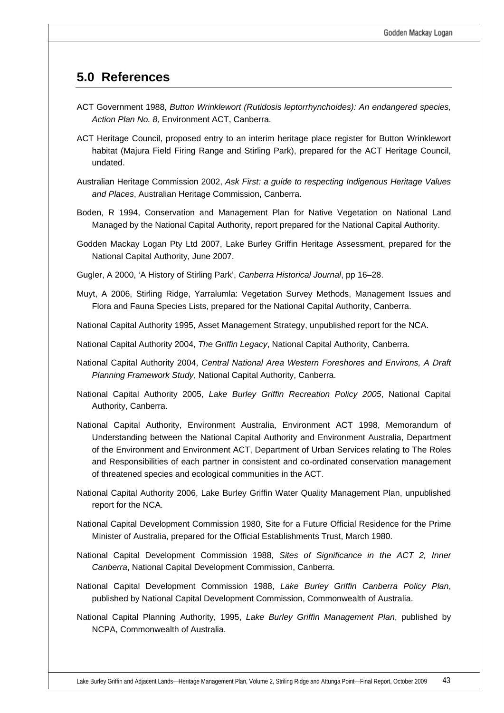# **5.0 References**

- ACT Government 1988, *Button Wrinklewort (Rutidosis leptorrhynchoides): An endangered species, Action Plan No. 8,* Environment ACT, Canberra.
- ACT Heritage Council, proposed entry to an interim heritage place register for Button Wrinklewort habitat (Majura Field Firing Range and Stirling Park), prepared for the ACT Heritage Council, undated.
- Australian Heritage Commission 2002, *Ask First: a guide to respecting Indigenous Heritage Values and Places*, Australian Heritage Commission, Canberra.
- Boden, R 1994, Conservation and Management Plan for Native Vegetation on National Land Managed by the National Capital Authority, report prepared for the National Capital Authority.
- Godden Mackay Logan Pty Ltd 2007, Lake Burley Griffin Heritage Assessment, prepared for the National Capital Authority, June 2007.
- Gugler, A 2000, 'A History of Stirling Park', *Canberra Historical Journal*, pp 16–28.
- Muyt, A 2006, Stirling Ridge, Yarralumla: Vegetation Survey Methods, Management Issues and Flora and Fauna Species Lists, prepared for the National Capital Authority, Canberra.
- National Capital Authority 1995, Asset Management Strategy, unpublished report for the NCA.
- National Capital Authority 2004, *The Griffin Legacy*, National Capital Authority, Canberra.
- National Capital Authority 2004, *Central National Area Western Foreshores and Environs, A Draft Planning Framework Study*, National Capital Authority, Canberra.
- National Capital Authority 2005, *Lake Burley Griffin Recreation Policy 2005*, National Capital Authority, Canberra.
- National Capital Authority, Environment Australia, Environment ACT 1998, Memorandum of Understanding between the National Capital Authority and Environment Australia, Department of the Environment and Environment ACT, Department of Urban Services relating to The Roles and Responsibilities of each partner in consistent and co-ordinated conservation management of threatened species and ecological communities in the ACT.
- National Capital Authority 2006, Lake Burley Griffin Water Quality Management Plan, unpublished report for the NCA.
- National Capital Development Commission 1980, Site for a Future Official Residence for the Prime Minister of Australia, prepared for the Official Establishments Trust, March 1980.
- National Capital Development Commission 1988, *Sites of Significance in the ACT 2, Inner Canberra*, National Capital Development Commission, Canberra.
- National Capital Development Commission 1988, *Lake Burley Griffin Canberra Policy Plan*, published by National Capital Development Commission, Commonwealth of Australia.
- National Capital Planning Authority, 1995, *Lake Burley Griffin Management Plan*, published by NCPA, Commonwealth of Australia.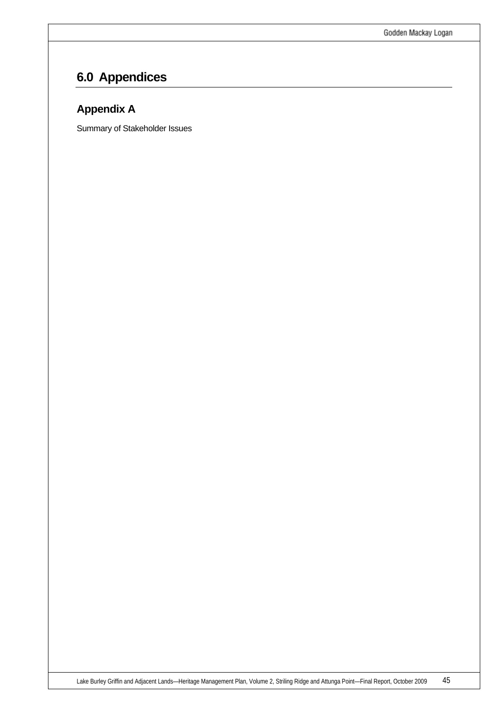# **6.0 Appendices**

# **Appendix A**

Summary of Stakeholder Issues

Lake Burley Griffin and Adjacent Lands—Heritage Management Plan, Volume 2, Striling Ridge and Attunga Point—Final Report, October 2009 45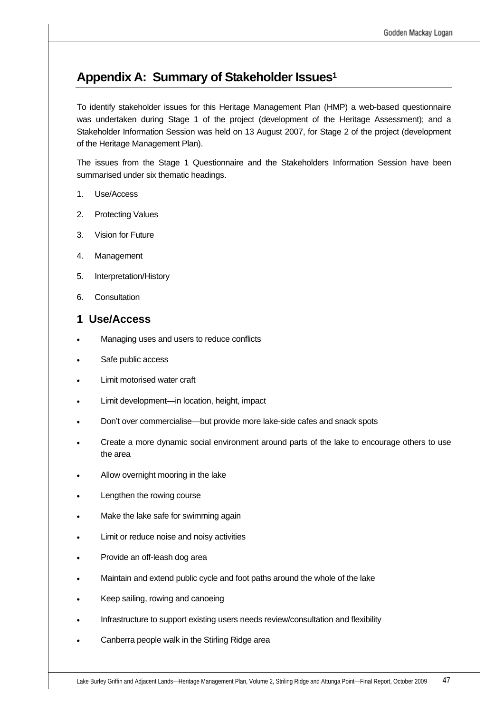# **Appendix A: Summary of Stakeholder Issues<sup>1</sup>**

To identify stakeholder issues for this Heritage Management Plan (HMP) a web-based questionnaire was undertaken during Stage 1 of the project (development of the Heritage Assessment); and a Stakeholder Information Session was held on 13 August 2007, for Stage 2 of the project (development of the Heritage Management Plan).

The issues from the Stage 1 Questionnaire and the Stakeholders Information Session have been summarised under six thematic headings.

- 1. Use/Access
- 2. Protecting Values
- 3. Vision for Future
- 4. Management
- 5. Interpretation/History
- 6. Consultation

### **1 Use/Access**

- Managing uses and users to reduce conflicts
- Safe public access
- Limit motorised water craft
- Limit development—in location, height, impact
- Don't over commercialise—but provide more lake-side cafes and snack spots
- Create a more dynamic social environment around parts of the lake to encourage others to use the area
- Allow overnight mooring in the lake
- Lengthen the rowing course
- Make the lake safe for swimming again
- Limit or reduce noise and noisy activities
- Provide an off-leash dog area
- Maintain and extend public cycle and foot paths around the whole of the lake
- Keep sailing, rowing and canoeing
- Infrastructure to support existing users needs review/consultation and flexibility
- Canberra people walk in the Stirling Ridge area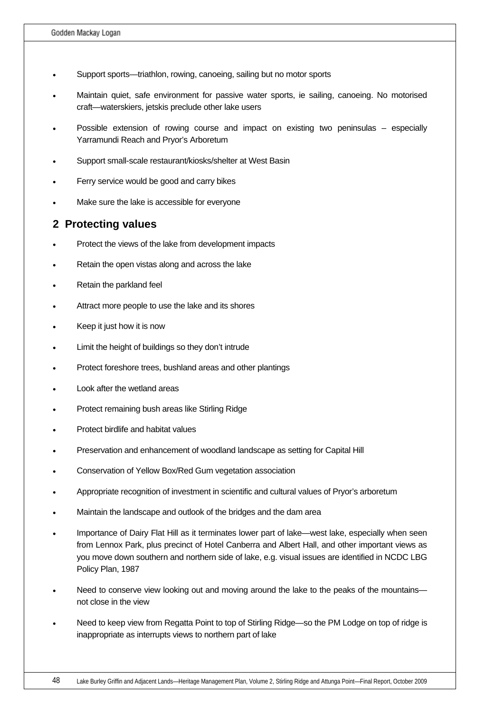- Support sports—triathlon, rowing, canoeing, sailing but no motor sports
- Maintain quiet, safe environment for passive water sports, ie sailing, canoeing. No motorised craft—waterskiers, jetskis preclude other lake users
- Possible extension of rowing course and impact on existing two peninsulas especially Yarramundi Reach and Pryor's Arboretum
- Support small-scale restaurant/kiosks/shelter at West Basin
- Ferry service would be good and carry bikes
- Make sure the lake is accessible for everyone

## **2 Protecting values**

- Protect the views of the lake from development impacts
- Retain the open vistas along and across the lake
- Retain the parkland feel
- Attract more people to use the lake and its shores
- Keep it just how it is now
- Limit the height of buildings so they don't intrude
- Protect foreshore trees, bushland areas and other plantings
- Look after the wetland areas
- Protect remaining bush areas like Stirling Ridge
- Protect birdlife and habitat values
- Preservation and enhancement of woodland landscape as setting for Capital Hill
- Conservation of Yellow Box/Red Gum vegetation association
- Appropriate recognition of investment in scientific and cultural values of Pryor's arboretum
- Maintain the landscape and outlook of the bridges and the dam area
- Importance of Dairy Flat Hill as it terminates lower part of lake—west lake, especially when seen from Lennox Park, plus precinct of Hotel Canberra and Albert Hall, and other important views as you move down southern and northern side of lake, e.g. visual issues are identified in NCDC LBG Policy Plan, 1987
- Need to conserve view looking out and moving around the lake to the peaks of the mountains not close in the view
- Need to keep view from Regatta Point to top of Stirling Ridge—so the PM Lodge on top of ridge is inappropriate as interrupts views to northern part of lake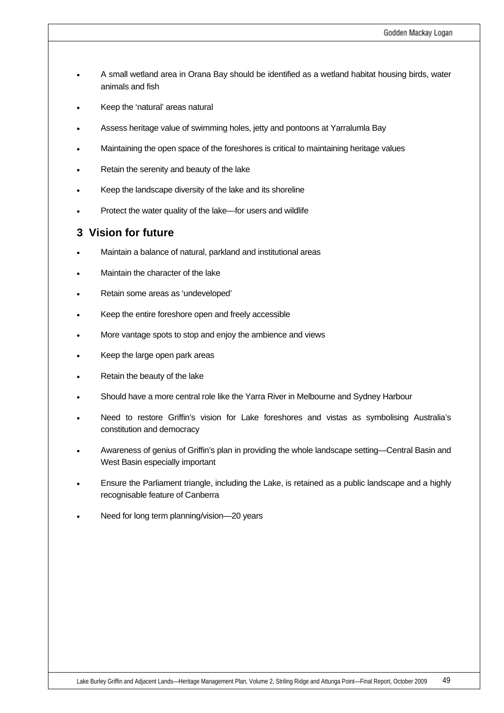- A small wetland area in Orana Bay should be identified as a wetland habitat housing birds, water animals and fish
- Keep the 'natural' areas natural
- Assess heritage value of swimming holes, jetty and pontoons at Yarralumla Bay
- Maintaining the open space of the foreshores is critical to maintaining heritage values
- Retain the serenity and beauty of the lake
- Keep the landscape diversity of the lake and its shoreline
- Protect the water quality of the lake—for users and wildlife

## **3 Vision for future**

- Maintain a balance of natural, parkland and institutional areas
- Maintain the character of the lake
- Retain some areas as 'undeveloped'
- Keep the entire foreshore open and freely accessible
- More vantage spots to stop and enjoy the ambience and views
- Keep the large open park areas
- Retain the beauty of the lake
- Should have a more central role like the Yarra River in Melbourne and Sydney Harbour
- Need to restore Griffin's vision for Lake foreshores and vistas as symbolising Australia's constitution and democracy
- Awareness of genius of Griffin's plan in providing the whole landscape setting—Central Basin and West Basin especially important
- Ensure the Parliament triangle, including the Lake, is retained as a public landscape and a highly recognisable feature of Canberra
- Need for long term planning/vision—20 years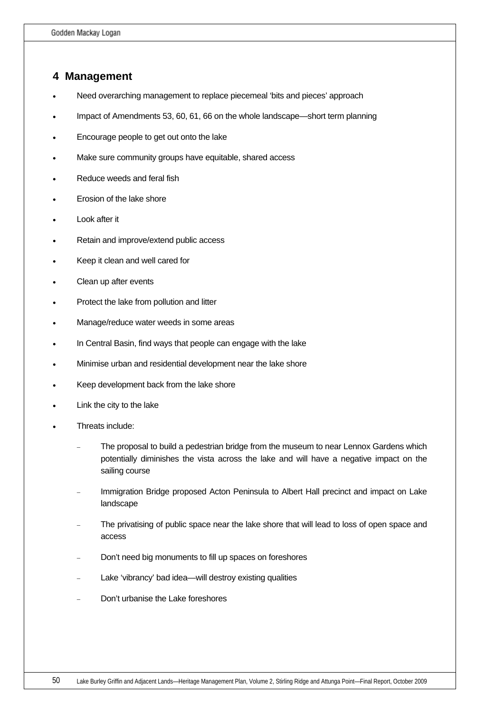## **4 Management**

- Need overarching management to replace piecemeal 'bits and pieces' approach
- Impact of Amendments 53, 60, 61, 66 on the whole landscape—short term planning
- Encourage people to get out onto the lake
- Make sure community groups have equitable, shared access
- Reduce weeds and feral fish
- Erosion of the lake shore
- Look after it
- Retain and improve/extend public access
- Keep it clean and well cared for
- Clean up after events
- Protect the lake from pollution and litter
- Manage/reduce water weeds in some areas
- In Central Basin, find ways that people can engage with the lake
- Minimise urban and residential development near the lake shore
- Keep development back from the lake shore
- Link the city to the lake
- Threats include:
	- The proposal to build a pedestrian bridge from the museum to near Lennox Gardens which potentially diminishes the vista across the lake and will have a negative impact on the sailing course
	- Immigration Bridge proposed Acton Peninsula to Albert Hall precinct and impact on Lake landscape
	- The privatising of public space near the lake shore that will lead to loss of open space and access
	- Don't need big monuments to fill up spaces on foreshores
	- Lake 'vibrancy' bad idea—will destroy existing qualities
	- Don't urbanise the Lake foreshores